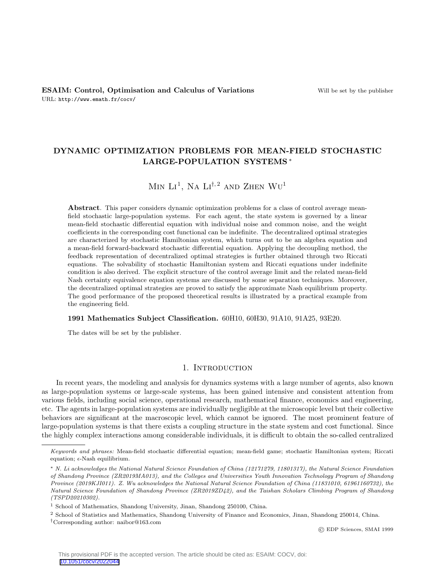## DYNAMIC OPTIMIZATION PROBLEMS FOR MEAN-FIELD STOCHASTIC LARGE-POPULATION SYSTEMS <sup>∗</sup>

# $\text{Min }\text{Li}^1$ , Na  $\text{Li}^{\dagger,2}$  and Zhen  $\text{Wu}^1$

Abstract. This paper considers dynamic optimization problems for a class of control average meanfield stochastic large-population systems. For each agent, the state system is governed by a linear mean-field stochastic differential equation with individual noise and common noise, and the weight coefficients in the corresponding cost functional can be indefinite. The decentralized optimal strategies are characterized by stochastic Hamiltonian system, which turns out to be an algebra equation and a mean-field forward-backward stochastic differential equation. Applying the decoupling method, the feedback representation of decentralized optimal strategies is further obtained through two Riccati equations. The solvability of stochastic Hamiltonian system and Riccati equations under indefinite condition is also derived. The explicit structure of the control average limit and the related mean-field Nash certainty equivalence equation systems are discussed by some separation techniques. Moreover, the decentralized optimal strategies are proved to satisfy the approximate Nash equilibrium property. The good performance of the proposed theoretical results is illustrated by a practical example from the engineering field.

#### 1991 Mathematics Subject Classification. 60H10, 60H30, 91A10, 91A25, 93E20.

The dates will be set by the publisher.

#### 1. INTRODUCTION

In recent years, the modeling and analysis for dynamics systems with a large number of agents, also known as large-population systems or large-scale systems, has been gained intensive and consistent attention from various fields, including social science, operational research, mathematical finance, economics and engineering, etc. The agents in large-population systems are individually negligible at the microscopic level but their collective behaviors are significant at the macroscopic level, which cannot be ignored. The most prominent feature of large-population systems is that there exists a coupling structure in the state system and cost functional. Since the highly complex interactions among considerable individuals, it is difficult to obtain the so-called centralized

© EDP Sciences, SMAI 1999

Keywords and phrases: Mean-field stochastic differential equation; mean-field game; stochastic Hamiltonian system; Riccati equation;  $\epsilon$ -Nash equilibrium.

<sup>∗</sup> N. Li acknowledges the National Natural Science Foundation of China (12171279, 11801317), the Natural Science Foundation of Shandong Province (ZR2019MA013), and the Colleges and Universities Youth Innovation Technology Program of Shandong Province (2019KJI011). Z. Wu acknowledges the National Natural Science Foundation of China (11831010, 61961160732), the Natural Science Foundation of Shandong Province (ZR2019ZD42), and the Taishan Scholars Climbing Program of Shandong (TSPD20210302).

<sup>&</sup>lt;sup>1</sup> School of Mathematics, Shandong University, Jinan, Shandong 250100, China.

<sup>2</sup> School of Statistics and Mathematics, Shandong University of Finance and Economics, Jinan, Shandong 250014, China.

<sup>†</sup>Corresponding author: naibor@163.com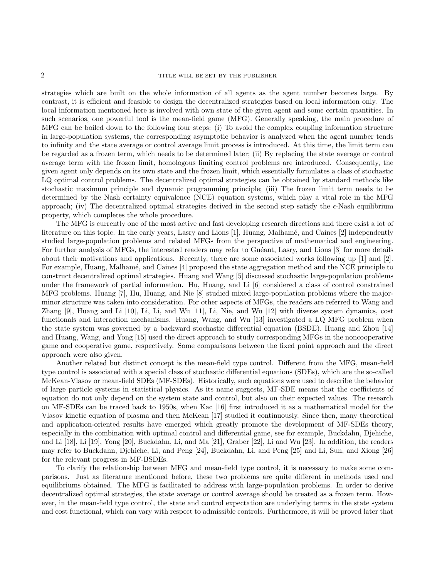### 2 TITLE WILL BE SET BY THE PUBLISHER

strategies which are built on the whole information of all agents as the agent number becomes large. By contrast, it is efficient and feasible to design the decentralized strategies based on local information only. The local information mentioned here is involved with own state of the given agent and some certain quantities. In such scenarios, one powerful tool is the mean-field game (MFG). Generally speaking, the main procedure of MFG can be boiled down to the following four steps: (i) To avoid the complex coupling information structure in large-population systems, the corresponding asymptotic behavior is analyzed when the agent number tends to infinity and the state average or control average limit process is introduced. At this time, the limit term can be regarded as a frozen term, which needs to be determined later; (ii) By replacing the state average or control average term with the frozen limit, homologous limiting control problems are introduced. Consequently, the given agent only depends on its own state and the frozen limit, which essentially formulates a class of stochastic LQ optimal control problems. The decentralized optimal strategies can be obtained by standard methods like stochastic maximum principle and dynamic programming principle; (iii) The frozen limit term needs to be determined by the Nash certainty equivalence (NCE) equation systems, which play a vital role in the MFG approach; (iv) The decentralized optimal strategies derived in the second step satisfy the  $\epsilon$ -Nash equilibrium property, which completes the whole procedure.

The MFG is currently one of the most active and fast developing research directions and there exist a lot of literature on this topic. In the early years, Lasry and Lions [1], Huang, Malhamé, and Caines [2] independently studied large-population problems and related MFGs from the perspective of mathematical and engineering. For further analysis of MFGs, the interested readers may refer to Guéant, Lasry, and Lions [3] for more details about their motivations and applications. Recently, there are some associated works following up [1] and [2]. For example, Huang, Malhamé, and Caines [4] proposed the state aggregation method and the NCE principle to construct decentralized optimal strategies. Huang and Wang [5] discussed stochastic large-population problems under the framework of partial information. Hu, Huang, and Li [6] considered a class of control constrained MFG problems. Huang [7], Hu, Huang, and Nie [8] studied mixed large-population problems where the majorminor structure was taken into consideration. For other aspects of MFGs, the readers are referred to Wang and Zhang [9], Huang and Li [10], Li, Li, and Wu [11], Li, Nie, and Wu [12] with diverse system dynamics, cost functionals and interaction mechanisms. Huang, Wang, and Wu [13] investigated a LQ MFG problem when the state system was governed by a backward stochastic differential equation (BSDE). Huang and Zhou [14] and Huang, Wang, and Yong [15] used the direct approach to study corresponding MFGs in the noncooperative game and cooperative game, respectively. Some comparisons between the fixed point approach and the direct approach were also given.

Another related but distinct concept is the mean-field type control. Different from the MFG, mean-field type control is associated with a special class of stochastic differential equations (SDEs), which are the so-called McKean-Vlasov or mean-field SDEs (MF-SDEs). Historically, such equations were used to describe the behavior of large particle systems in statistical physics. As its name suggests, MF-SDE means that the coefficients of equation do not only depend on the system state and control, but also on their expected values. The research on MF-SDEs can be traced back to 1950s, when Kac [16] first introduced it as a mathematical model for the Vlasov kinetic equation of plasma and then McKean [17] studied it continuously. Since then, many theoretical and application-oriented results have emerged which greatly promote the development of MF-SDEs theory, especially in the combination with optimal control and differential game, see for example, Buckdahn, Djehiche, and Li [18], Li [19], Yong [20], Buckdahn, Li, and Ma [21], Graber [22], Li and Wu [23]. In addition, the readers may refer to Buckdahn, Djehiche, Li, and Peng [24], Buckdahn, Li, and Peng [25] and Li, Sun, and Xiong [26] for the relevant progress in MF-BSDEs.

To clarify the relationship between MFG and mean-field type control, it is necessary to make some comparisons. Just as literature mentioned before, these two problems are quite different in methods used and equilibriums obtained. The MFG is facilitated to address with large-population problems. In order to derive decentralized optimal strategies, the state average or control average should be treated as a frozen term. However, in the mean-field type control, the state and control expectation are underlying terms in the state system and cost functional, which can vary with respect to admissible controls. Furthermore, it will be proved later that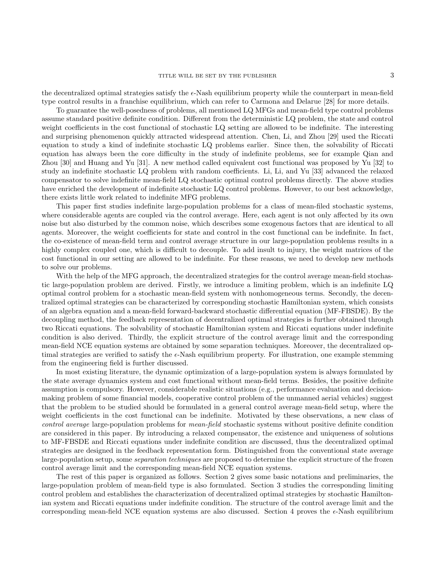the decentralized optimal strategies satisfy the  $\epsilon$ -Nash equilibrium property while the counterpart in mean-field type control results in a franchise equilibrium, which can refer to Carmona and Delarue [28] for more details.

To guarantee the well-posedness of problems, all mentioned LQ MFGs and mean-field type control problems assume standard positive definite condition. Different from the deterministic LQ problem, the state and control weight coefficients in the cost functional of stochastic LQ setting are allowed to be indefinite. The interesting and surprising phenomenon quickly attracted widespread attention. Chen, Li, and Zhou [29] used the Riccati equation to study a kind of indefinite stochastic LQ problems earlier. Since then, the solvability of Riccati equation has always been the core difficulty in the study of indefinite problems, see for example Qian and Zhou [30] and Huang and Yu [31]. A new method called equivalent cost functional was proposed by Yu [32] to study an indefinite stochastic LQ problem with random coefficients. Li, Li, and Yu [33] advanced the relaxed compensator to solve indefinite mean-field LQ stochastic optimal control problems directly. The above studies have enriched the development of indefinite stochastic LQ control problems. However, to our best acknowledge, there exists little work related to indefinite MFG problems.

This paper first studies indefinite large-population problems for a class of mean-filed stochastic systems, where considerable agents are coupled via the control average. Here, each agent is not only affected by its own noise but also disturbed by the common noise, which describes some exogenous factors that are identical to all agents. Moreover, the weight coefficients for state and control in the cost functional can be indefinite. In fact, the co-existence of mean-field term and control average structure in our large-population problems results in a highly complex coupled one, which is difficult to decouple. To add insult to injury, the weight matrices of the cost functional in our setting are allowed to be indefinite. For these reasons, we need to develop new methods to solve our problems.

With the help of the MFG approach, the decentralized strategies for the control average mean-field stochastic large-population problem are derived. Firstly, we introduce a limiting problem, which is an indefinite LQ optimal control problem for a stochastic mean-field system with nonhomogeneous terms. Secondly, the decentralized optimal strategies can be characterized by corresponding stochastic Hamiltonian system, which consists of an algebra equation and a mean-field forward-backward stochastic differential equation (MF-FBSDE). By the decoupling method, the feedback representation of decentralized optimal strategies is further obtained through two Riccati equations. The solvability of stochastic Hamiltonian system and Riccati equations under indefinite condition is also derived. Thirdly, the explicit structure of the control average limit and the corresponding mean-field NCE equation systems are obtained by some separation techniques. Moreover, the decentralized optimal strategies are verified to satisfy the  $\epsilon$ -Nash equilibrium property. For illustration, one example stemming from the engineering field is further discussed.

In most existing literature, the dynamic optimization of a large-population system is always formulated by the state average dynamics system and cost functional without mean-field terms. Besides, the positive definite assumption is compulsory. However, considerable realistic situations (e.g., performance evaluation and decisionmaking problem of some financial models, cooperative control problem of the unmanned aerial vehicles) suggest that the problem to be studied should be formulated in a general control average mean-field setup, where the weight coefficients in the cost functional can be indefinite. Motivated by these observations, a new class of control average large-population problems for mean-field stochastic systems without positive definite condition are considered in this paper. By introducing a relaxed compensator, the existence and uniqueness of solutions to MF-FBSDE and Riccati equations under indefinite condition are discussed, thus the decentralized optimal strategies are designed in the feedback representation form. Distinguished from the conventional state average large-population setup, some *separation techniques* are proposed to determine the explicit structure of the frozen control average limit and the corresponding mean-field NCE equation systems.

The rest of this paper is organized as follows. Section 2 gives some basic notations and preliminaries, the large-population problem of mean-field type is also formulated. Section 3 studies the corresponding limiting control problem and establishes the characterization of decentralized optimal strategies by stochastic Hamiltonian system and Riccati equations under indefinite condition. The structure of the control average limit and the corresponding mean-field NCE equation systems are also discussed. Section 4 proves the  $\epsilon$ -Nash equilibrium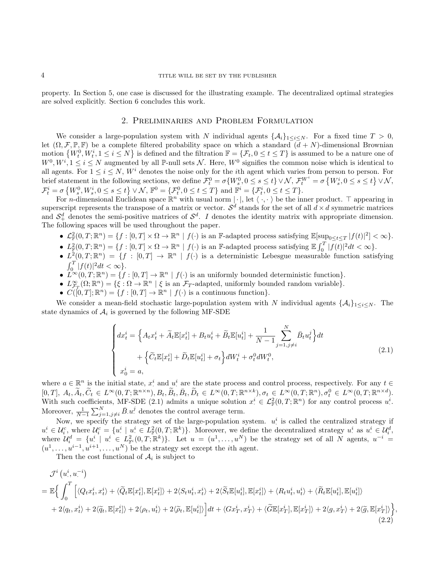property. In Section 5, one case is discussed for the illustrating example. The decentralized optimal strategies are solved explicitly. Section 6 concludes this work.

## 2. Preliminaries and Problem Formulation

We consider a large-population system with N individual agents  $\{\mathcal{A}_i\}_{1\leq i\leq N}$ . For a fixed time  $T > 0$ , let  $(\Omega, \mathcal{F}, \mathbb{P}, \mathbb{F})$  be a complete filtered probability space on which a standard  $(d + N)$ -dimensional Brownian motion  $\{W_t^0, W_t^i, 1 \le i \le N\}$  is defined and the filtration  $\mathbb{F} = \{\mathcal{F}_t, 0 \le t \le T\}$  is assumed to be a nature one of  $W^0, W^i, 1 \leq i \leq N$  augmented by all P-null sets N. Here,  $W^0$  signifies the common noise which is identical to all agents. For  $1 \leq i \leq N$ , W<sup>i</sup> denotes the noise only for the *i*th agent which varies from person to person. For brief statement in the following sections, we define  $\mathcal{F}_t^0 = \sigma\{W_s^0, 0 \le s \le t\} \vee \mathcal{N}, \ \mathcal{F}_t^{W^i} = \sigma\{W_s^i, 0 \le s \le t\} \vee \mathcal{N},$  $\mathcal{F}_t^i = \sigma \left\{ W_s^0, W_s^i, 0 \le s \le t \right\} \vee \mathcal{N}, \mathbb{F}^0 = \left\{ \mathcal{F}_t^0, 0 \le t \le T \right\} \text{ and } \mathbb{F}^i = \left\{ \mathcal{F}_t^i, 0 \le t \le T \right\}.$ 

For *n*-dimensional Euclidean space  $\mathbb{R}^n$  with usual norm  $|\cdot|$ , let  $\langle \cdot, \cdot \rangle$  be the inner product.  $\top$  appearing in superscript represents the transpose of a matrix or vector.  $S^d$  stands for the set of all  $d \times d$  symmetric matrices and  $S_+^d$  denotes the semi-positive matrices of  $S^d$ . I denotes the identity matrix with appropriate dimension. The following spaces will be used throughout the paper.

- $\mathcal{L}_{\mathbb{F}}^2(0,T;\mathbb{R}^n) = \{f : [0,T] \times \Omega \to \mathbb{R}^n \mid f(\cdot) \text{ is an } \mathbb{F}\text{-adapted process satisfying } \mathbb{E}[\sup_{0 \leq t \leq T} |f(t)|^2] < \infty\}.$
- $L^2_{\mathbb{F}}(0,T;\mathbb{R}^n) = \{f : [0,T] \times \Omega \to \mathbb{R}^n \mid f(\cdot) \text{ is an } \mathbb{F}\text{-adapted process satisfying } \mathbb{E} \int_0^T |f(t)|^2 dt < \infty \}.$
- $L^2(0,T;\mathbb{R}^n) = \{f : [0,T] \to \mathbb{R}^n \mid f(\cdot) \text{ is a deterministic Lebesgue measurable function satisfying }$  $\int_0^T |f(t)|^2 dt < \infty$ .
- $L^{\infty}(0,T;\mathbb{R}^n) = \{f : [0,T] \to \mathbb{R}^n \mid f(\cdot) \text{ is an uniformly bounded deterministic function}\}.$
- $L^{\infty}_{\mathcal{F}_T}(\Omega;\mathbb{R}^n) = \{\xi : \Omega \to \mathbb{R}^n \mid \xi \text{ is an } \mathcal{F}_T\text{-adapted, uniformly bounded random variable}\}.$
- $C([0,T];\mathbb{R}^n) = \{f: [0,T] \to \mathbb{R}^n \mid f(\cdot) \text{ is a continuous function}\}.$

We consider a mean-field stochastic large-population system with N individual agents  $\{\mathcal{A}_i\}_{1\leq i\leq N}$ . The state dynamics of  $A_i$  is governed by the following MF-SDE

$$
\begin{cases} dx_t^i = \left\{ A_t x_t^i + \widetilde{A}_t \mathbb{E}[x_t^i] + B_t u_t^i + \widetilde{B}_t \mathbb{E}[u_t^i] + \frac{1}{N-1} \sum_{j=1, j \neq i}^N \bar{B}_t u_t^j \right\} dt \\qquad \qquad + \left\{ \widetilde{C}_t \mathbb{E}[x_t^i] + \widetilde{D}_t \mathbb{E}[u_t^i] + \sigma_t \right\} dW_t^i + \sigma_t^0 dW_t^0, \\ x_0^i = a, \end{cases} \tag{2.1}
$$

where  $a \in \mathbb{R}^n$  is the initial state,  $x^i$  and  $u^i$  are the state process and control process, respectively. For any  $t \in$  $[0,T], A_t, \widetilde{A}_t, \widetilde{C}_t \in L^{\infty}(0,T;\mathbb{R}^{n\times n}), B_t, \widetilde{B}_t, \bar{B}_t, \widetilde{D}_t \in L^{\infty}(0,T;\mathbb{R}^{n\times k}), \sigma_t \in L^{\infty}(0,T;\mathbb{R}^n), \sigma_t^0 \in L^{\infty}(0,T;\mathbb{R}^{n\times d}).$ With such coefficients, MF-SDE (2.1) admits a unique solution  $x^i \in \mathcal{L}_{\mathbb{F}}^2(0,T;\mathbb{R}^n)$  for any control process  $u^i$ . Moreover,  $\frac{1}{N-1} \sum_{j=1, j \neq i}^{N} \bar{B}.u^j$  denotes the control average term.

Now, we specify the strategy set of the large-population system.  $u^i$  is called the centralized strategy if  $u^i \in \mathcal{U}_i^c$ , where  $\mathcal{U}_i^c = \{u^i \mid u^i \in L^2_{\mathbb{F}}(0,T;\mathbb{R}^k)\}\$ . Moreover, we define the decentralized strategy  $u^i$  as  $u^i \in \mathcal{U}_i^d$ , where  $\mathcal{U}_i^d = \{u^i \mid u^i \in L^2_{\mathbb{F}^i}(0,T;\mathbb{R}^k)\}\.$  Let  $u = (u^1,\ldots,u^N)$  be the strategy set of all N agents,  $u^{-i} =$  $(u^1, \ldots, u^{i-1}, u^{i+1}, \ldots, u^N)$  be the strategy set except the *i*th agent.

Then the cost functional of  $A_i$  is subject to

$$
\mathcal{J}^{i}(u^{i}_{\cdot}, u^{-i})
$$
\n
$$
= \mathbb{E}\Big\{\int_{0}^{T}\Big[\langle Q_{t}x_{t}^{i}, x_{t}^{i}\rangle + \langle\widetilde{Q}_{t}\mathbb{E}[x_{t}^{i}], \mathbb{E}[x_{t}^{i}]\rangle + 2\langle S_{t}u_{t}^{i}, x_{t}^{i}\rangle + 2\langle\widetilde{S}_{t}\mathbb{E}[u_{t}^{i}], \mathbb{E}[x_{t}^{i}]\rangle + \langle R_{t}u_{t}^{i}, u_{t}^{i}\rangle + \langle\widetilde{R}_{t}\mathbb{E}[u_{t}^{i}], \mathbb{E}[u_{t}^{i}]\rangle + 2\langle q_{t}, x_{t}^{i}\rangle + 2\langle\widetilde{q}_{t}, \mathbb{E}[x_{t}^{i}]\rangle + 2\langle\rho_{t}, u_{t}^{i}\rangle + 2\langle\widetilde{\rho}_{t}, \mathbb{E}[u_{t}^{i}]\rangle\Big]dt + \langle Gx_{T}^{i}, x_{T}^{i}\rangle + \langle\widetilde{G}\mathbb{E}[x_{T}^{i}], \mathbb{E}[x_{T}^{i}]\rangle + 2\langle q, x_{T}^{i}\rangle + 2\langle\widetilde{q}, \mathbb{E}[x_{T}^{i}]\rangle\Big\},\tag{2.2}
$$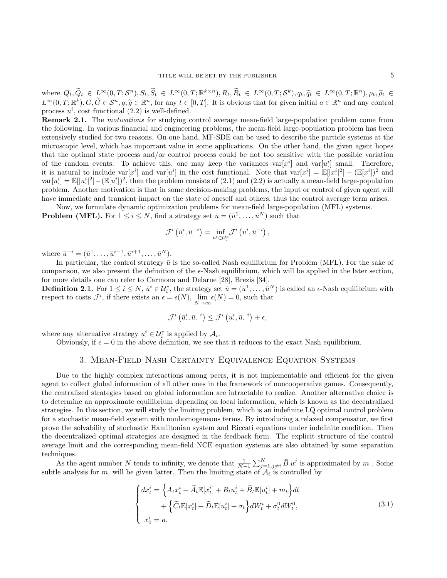where  $Q_t, \widetilde{Q}_t \in L^{\infty}(0,T; \mathcal{S}^n), S_t, \widetilde{S}_t \in L^{\infty}(0,T; \mathbb{R}^{k \times n}), R_t, \widetilde{R}_t \in L^{\infty}(0,T; \mathcal{S}^k), q_t, \widetilde{q}_t \in L^{\infty}(0,T; \mathbb{R}^n), \rho_t, \widetilde{\rho}_t \in L^{\infty}(0,T; \mathbb{R}^n), \sigma_t, \widetilde{\rho}_t \in L^{\infty}(0,T; \mathbb{R}^n)$  $L^{\infty}(0,T;\mathbb{R}^k), G, \widetilde{G} \in \mathcal{S}^n, g, \widetilde{g} \in \mathbb{R}^n$ , for any  $t \in [0,T]$ . It is obvious that for given initial  $a \in \mathbb{R}^n$  and any control process  $u^i$ , cost functional  $(2.2)$  is well-defined.

**Remark 2.1.** The *motivations* for studying control average mean-field large-population problem come from the following. In various financial and engineering problems, the mean-field large-population problem has been extensively studied for two reasons. On one hand, MF-SDE can be used to describe the particle systems at the microscopic level, which has important value in some applications. On the other hand, the given agent hopes that the optimal state process and/or control process could be not too sensitive with the possible variation of the random events. To achieve this, one may keep the variances  $\text{var}[x^i]$  and  $\text{var}[u^i]$  small. Therefore, it is natural to include  $\text{var}[x]$  and  $\text{var}[u]$  in the cost functional. Note that  $\text{var}[x] = \mathbb{E}[|x^i|^2] - (\mathbb{E}[x])^2$  and  $var[u^i] = \mathbb{E}[|u^i|^2] - (\mathbb{E}[u^i])^2$ , then the problem consists of  $(2.1)$  and  $(2.2)$  is actually a mean-field large-population problem. Another motivation is that in some decision-making problems, the input or control of given agent will have immediate and transient impact on the state of oneself and others, thus the control average term arises.

Now, we formulate dynamic optimization problems for mean-field large-population (MFL) systems. **Problem (MFL).** For  $1 \leq i \leq N$ , find a strategy set  $\bar{u} = (\bar{u}^1, \ldots, \bar{u}^N)$  such that

$$
\mathcal{J}^{i}\left(\bar{u}^{i}_{\cdot},\bar{u}^{-i}_{\cdot}\right)=\inf_{u^{i}_{\cdot}\in\mathcal{U}^{c}_{i}}\mathcal{J}^{i}\left(u^{i}_{\cdot},\bar{u}^{-i}_{\cdot}\right),
$$

where  $\bar{u}^{-i} = (\bar{u}^1, \ldots, \bar{u}^{i-1}, \bar{u}^{i+1}, \ldots, \bar{u}^N)$ .

In particular, the control strategy  $\bar{u}$  is the so-called Nash equilibrium for Problem (MFL). For the sake of comparison, we also present the definition of the  $\epsilon$ -Nash equilibrium, which will be applied in the later section, for more details one can refer to Carmona and Delarue [28], Brezis [34].

**Definition 2.1.** For  $1 \le i \le N$ ,  $\bar{u}^i \in \mathcal{U}_i^c$ , the strategy set  $\bar{u} = (\bar{u}^1, \ldots, \bar{u}^N)$  is called an  $\epsilon$ -Nash equilibrium with respect to costs  $\mathcal{J}^i$ , if there exists an  $\epsilon = \epsilon(N)$ ,  $\lim_{N \to \infty} \epsilon(N) = 0$ , such that

$$
\mathcal{J}^{i}\left(\bar{u}^{i}_{\cdot},\bar{u}^{-i}_{\cdot}\right)\leq \mathcal{J}^{i}\left(u^{i}_{\cdot},\bar{u}^{-i}_{\cdot}\right)+\epsilon,
$$

where any alternative strategy  $u^i \in \mathcal{U}_i^c$  is applied by  $\mathcal{A}_i$ .

Obviously, if  $\epsilon = 0$  in the above definition, we see that it reduces to the exact Nash equilibrium.

#### 3. Mean-Field Nash Certainty Equivalence Equation Systems

Due to the highly complex interactions among peers, it is not implementable and efficient for the given agent to collect global information of all other ones in the framework of noncooperative games. Consequently, the centralized strategies based on global information are intractable to realize. Another alternative choice is to determine an approximate equilibrium depending on local information, which is known as the decentralized strategies. In this section, we will study the limiting problem, which is an indefinite LQ optimal control problem for a stochastic mean-field system with nonhomogeneous terms. By introducing a relaxed compensator, we first prove the solvability of stochastic Hamiltonian system and Riccati equations under indefinite condition. Then the decentralized optimal strategies are designed in the feedback form. The explicit structure of the control average limit and the corresponding mean-field NCE equation systems are also obtained by some separation techniques.

As the agent number N tends to infinity, we denote that  $\frac{1}{N-1} \sum_{j=1,j\neq i}^{N} \bar{B} u^j$  is approximated by m.. Some subtle analysis for m, will be given latter. Then the limiting state of  $\mathcal{A}_i$  is controlled by

$$
\begin{cases}\ndx_t^i = \left\{ A_t x_t^i + \widetilde{A}_t \mathbb{E}[x_t^i] + B_t u_t^i + \widetilde{B}_t \mathbb{E}[u_t^i] + m_t \right\} dt \\
+ \left\{ \widetilde{C}_t \mathbb{E}[x_t^i] + \widetilde{D}_t \mathbb{E}[u_t^i] + \sigma_t \right\} dW_t^i + \sigma_t^0 dW_t^0, \\
x_0^i = a.\n\end{cases} \tag{3.1}
$$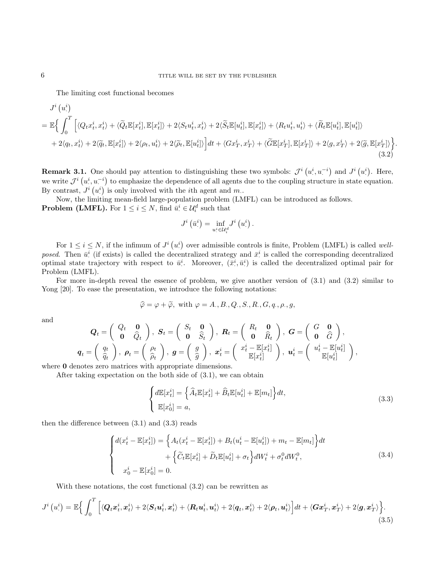The limiting cost functional becomes

$$
J^{i}(u_{\cdot}^{i})
$$
\n
$$
= \mathbb{E}\Big\{\int_{0}^{T}\Big[\langle Q_{t}x_{t}^{i},x_{t}^{i}\rangle + \langle\widetilde{Q}_{t}\mathbb{E}[x_{t}^{i}],\mathbb{E}[x_{t}^{i}]\rangle + 2\langle S_{t}u_{t}^{i},x_{t}^{i}\rangle + 2\langle\widetilde{S}_{t}\mathbb{E}[u_{t}^{i}],\mathbb{E}[x_{t}^{i}]\rangle + \langle R_{t}u_{t}^{i},u_{t}^{i}\rangle + \langle\widetilde{R}_{t}\mathbb{E}[u_{t}^{i}],\mathbb{E}[u_{t}^{i}]\rangle + 2\langle q_{t},x_{t}^{i}\rangle + 2\langle\widetilde{q}_{t},\mathbb{E}[x_{t}^{i}]\rangle + 2\langle \rho_{t},u_{t}^{i}\rangle + 2\langle\widetilde{\rho}_{t},\mathbb{E}[u_{t}^{i}]\rangle\Big]dt + \langle Gx_{T}^{i},x_{T}^{i}\rangle + \langle\widetilde{G}\mathbb{E}[x_{T}^{i}],\mathbb{E}[x_{T}^{i}]\rangle + 2\langle q,x_{T}^{i}\rangle + 2\langle\widetilde{q},\mathbb{E}[x_{T}^{i}]\rangle\Big\}\Big\}
$$
\n(3.2)

**Remark 3.1.** One should pay attention to distinguishing these two symbols:  $\mathcal{J}^i(u^i, u^{-i})$  and  $J^i(u^i)$ . Here, we write  $\mathcal{J}^i(u^i, u^{-i})$  to emphasize the dependence of all agents due to the coupling structure in state equation. By contrast,  $J^i(u)$  is only involved with the *i*<sup>th</sup> agent and *m*.

Now, the limiting mean-field large-population problem (LMFL) can be introduced as follows. **Problem (LMFL).** For  $1 \leq i \leq N$ , find  $\bar{u}^i \in \mathcal{U}^d_i$  such that

$$
J^{i}\left(\bar{u}^{i}\right)=\inf_{u^{i}\in\mathcal{U}_{i}^{d}}J^{i}\left(u^{i}\right).
$$

For  $1 \leq i \leq N$ , if the infimum of  $J^i(u_i^i)$  over admissible controls is finite, Problem (LMFL) is called wellposed. Then  $\bar{u}^i$  (if exists) is called the decentralized strategy and  $\bar{x}^i$  is called the corresponding decentralized optimal state trajectory with respect to  $\bar{u}^i$ . Moreover,  $(\bar{x}^i, \bar{u}^i)$  is called the decentralized optimal pair for Problem (LMFL).

For more in-depth reveal the essence of problem, we give another version of (3.1) and (3.2) similar to Yong [20]. To ease the presentation, we introduce the following notations:

$$
\widehat{\varphi} = \varphi + \widetilde{\varphi}, \text{ with } \varphi = A., B., Q., S., R., G, q., \rho., g,
$$

and

$$
\boldsymbol{Q}_t = \begin{pmatrix} Q_t & \boldsymbol{0} \\ \boldsymbol{0} & \widehat{Q}_t \end{pmatrix}, \ \ \boldsymbol{S}_t = \begin{pmatrix} S_t & \boldsymbol{0} \\ \boldsymbol{0} & \widehat{S}_t \end{pmatrix}, \ \ \boldsymbol{R}_t = \begin{pmatrix} R_t & \boldsymbol{0} \\ \boldsymbol{0} & \widehat{R}_t \end{pmatrix}, \ \ \boldsymbol{G} = \begin{pmatrix} G & \boldsymbol{0} \\ \boldsymbol{0} & \widehat{G} \end{pmatrix}, \ \ \boldsymbol{q}_t = \begin{pmatrix} q_t \\ \widehat{q}_t \end{pmatrix}, \ \ \boldsymbol{\rho}_t = \begin{pmatrix} \rho_t \\ \widehat{\rho}_t \end{pmatrix}, \ \ \boldsymbol{g} = \begin{pmatrix} g \\ \widehat{g} \end{pmatrix}, \ \ \boldsymbol{x}_t^i = \begin{pmatrix} x_t^i - \mathbb{E}[x_t^i] \\ \mathbb{E}[x_t^i] \end{pmatrix}, \ \ \boldsymbol{u}_t^i = \begin{pmatrix} u_t^i - \mathbb{E}[u_t^i] \\ \mathbb{E}[u_t^i] \end{pmatrix},
$$
 where  $\boldsymbol{0}$  denotes zero matrices with appropriate dimensions.

After taking expectation on the both side of (3.1), we can obtain

$$
\begin{cases} d\mathbb{E}[x_t^i] = \left\{\widehat{A}_t \mathbb{E}[x_t^i] + \widehat{B}_t \mathbb{E}[u_t^i] + \mathbb{E}[m_t]\right\} dt, \\ \mathbb{E}[x_0^i] = a, \end{cases}
$$
\n(3.3)

.

then the difference between  $(3.1)$  and  $(3.3)$  reads

$$
\begin{cases} d(x_t^i - \mathbb{E}[x_t^i]) = \left\{ A_t(x_t^i - \mathbb{E}[x_t^i]) + B_t(u_t^i - \mathbb{E}[u_t^i]) + m_t - \mathbb{E}[m_t] \right\} dt \\ \qquad + \left\{ \widetilde{C}_t \mathbb{E}[x_t^i] + \widetilde{D}_t \mathbb{E}[u_t^i] + \sigma_t \right\} dW_t^i + \sigma_t^0 dW_t^0, \\ x_0^i - \mathbb{E}[x_0^i] = 0. \end{cases} \tag{3.4}
$$

With these notations, the cost functional (3.2) can be rewritten as

$$
J^{i}\left(u^{i}\right) = \mathbb{E}\Big\{\int_{0}^{T}\Big[\langle\boldsymbol{Q}_{t}\boldsymbol{x}_{t}^{i},\boldsymbol{x}_{t}^{i}\rangle+2\langle\boldsymbol{S}_{t}\boldsymbol{u}_{t}^{i},\boldsymbol{x}_{t}^{i}\rangle+\langle\boldsymbol{R}_{t}\boldsymbol{u}_{t}^{i},\boldsymbol{u}_{t}^{i}\rangle+2\langle\boldsymbol{q}_{t},\boldsymbol{x}_{t}^{i}\rangle+2\langle\boldsymbol{\rho}_{t},\boldsymbol{u}_{t}^{i}\rangle\Big]dt+\langle\boldsymbol{G}\boldsymbol{x}_{T}^{i},\boldsymbol{x}_{T}^{i}\rangle+2\langle\boldsymbol{g},\boldsymbol{x}_{T}^{i}\rangle\Big\}.\tag{3.5}
$$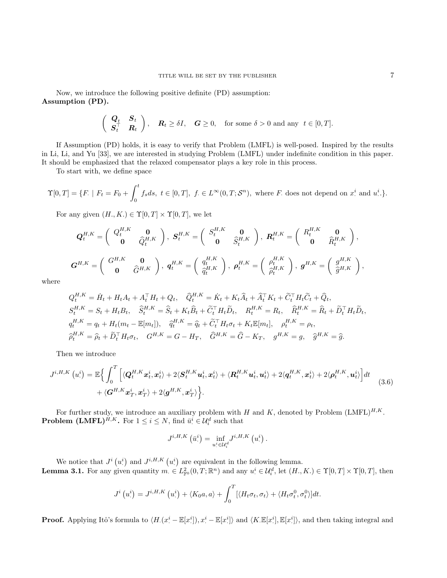Now, we introduce the following positive definite (PD) assumption: Assumption (PD).

$$
\begin{pmatrix} \mathbf{Q}_t & \mathbf{S}_t \\ \mathbf{S}_t^\top & \mathbf{R}_t \end{pmatrix}
$$
,  $\mathbf{R}_t \ge \delta I$ ,  $\mathbf{G} \ge 0$ , for some  $\delta > 0$  and any  $t \in [0, T]$ .

If Assumption (PD) holds, it is easy to verify that Problem (LMFL) is well-posed. Inspired by the results in Li, Li, and Yu [33], we are interested in studying Problem (LMFL) under indefinite condition in this paper. It should be emphasized that the relaxed compensator plays a key role in this process.

To start with, we define space

$$
\Upsilon[0,T] = \{F. \mid F_t = F_0 + \int_0^t f_s ds, \ t \in [0,T], \ f \in L^\infty(0,T; \mathcal{S}^n), \text{ where } F \text{ does not depend on } x^i \text{ and } u^i.\}.
$$

For any given  $(H_., K.) \in \Upsilon[0,T] \times \Upsilon[0,T]$ , we let

$$
\mathbf{Q}_{t}^{H,K} = \begin{pmatrix} Q_{t}^{H,K} & \mathbf{0} \\ \mathbf{0} & \widehat{Q}_{t}^{H,K} \end{pmatrix}, \ \mathbf{S}_{t}^{H,K} = \begin{pmatrix} S_{t}^{H,K} & \mathbf{0} \\ \mathbf{0} & \widehat{S}_{t}^{H,K} \end{pmatrix}, \ \mathbf{R}_{t}^{H,K} = \begin{pmatrix} R_{t}^{H,K} & \mathbf{0} \\ \mathbf{0} & \widehat{R}_{t}^{H,K} \end{pmatrix},
$$

$$
\mathbf{G}^{H,K} = \begin{pmatrix} G^{H,K} & \mathbf{0} \\ \mathbf{0} & \widehat{G}^{H,K} \end{pmatrix}, \ \mathbf{q}_{t}^{H,K} = \begin{pmatrix} q_{t}^{H,K} \\ \widehat{q}_{t}^{H,K} \end{pmatrix}, \ \mathbf{p}_{t}^{H,K} = \begin{pmatrix} \rho_{t}^{H,K} \\ \widehat{\rho}_{t}^{H,K} \end{pmatrix}, \ \mathbf{g}^{H,K} = \begin{pmatrix} g^{H,K} \\ \widehat{g}^{H,K} \end{pmatrix},
$$

where

$$
Q_t^{H,K} = \dot{H}_t + H_t A_t + A_t^\top H_t + Q_t, \quad \hat{Q}_t^{H,K} = \dot{K}_t + K_t \hat{A}_t + \hat{A}_t^\top K_t + \tilde{C}_t^\top H_t \tilde{C}_t + \hat{Q}_t,
$$
  
\n
$$
S_t^{H,K} = S_t + H_t B_t, \quad \hat{S}_t^{H,K} = \hat{S}_t + K_t \hat{B}_t + \tilde{C}_t^\top H_t \tilde{D}_t, \quad R_t^{H,K} = R_t, \quad \hat{R}_t^{H,K} = \hat{R}_t + \tilde{D}_t^\top H_t \tilde{D}_t,
$$
  
\n
$$
q_t^{H,K} = q_t + H_t (m_t - \mathbb{E}[m_t]), \quad \hat{q}_t^{H,K} = \hat{q}_t + \tilde{C}_t^\top H_t \sigma_t + K_t \mathbb{E}[m_t], \quad \rho_t^{H,K} = \rho_t,
$$
  
\n
$$
\hat{\rho}_t^{H,K} = \hat{\rho}_t + \tilde{D}_t^\top H_t \sigma_t, \quad G^{H,K} = G - H_T, \quad \hat{G}^{H,K} = \hat{G} - K_T, \quad g^{H,K} = g, \quad \hat{g}^{H,K} = \hat{g}.
$$

Then we introduce

$$
J^{i,H,K}(u^i) = \mathbb{E}\Big\{\int_0^T \Big[\langle \mathbf{Q}_t^{H,K}\mathbf{x}_t^i, \mathbf{x}_t^i \rangle + 2\langle \mathbf{S}_t^{H,K}\mathbf{u}_t^i, \mathbf{x}_t^i \rangle + \langle \mathbf{R}_t^{H,K}\mathbf{u}_t^i, \mathbf{u}_t^i \rangle + 2\langle \mathbf{q}_t^{H,K}, \mathbf{x}_t^i \rangle + 2\langle \mathbf{p}_t^{H,K}, \mathbf{u}_t^i \rangle \Big] dt \Big\} + \langle \mathbf{G}^{H,K}\mathbf{x}_T^i, \mathbf{x}_T^i \rangle + 2\langle \mathbf{g}^{H,K}, \mathbf{x}_T^i \rangle \Big\}.
$$
\n(3.6)

For further study, we introduce an auxiliary problem with H and K, denoted by Problem  $(LMFL)^{H,K}$ . **Problem (LMFL)**<sup>*H*,*K*</sup>. For  $1 \leq i \leq N$ , find  $\bar{u}^i \in \mathcal{U}_i^d$  such that

$$
J^{i,H,K}\left(\bar{u}^i\right) = \inf_{u^i \in \mathcal{U}^d_i} J^{i,H,K}\left(u^i\right).
$$

We notice that  $J^i(u^i)$  and  $J^{i,H,K}(u^i)$  are equivalent in the following lemma. **Lemma 3.1.** For any given quantity  $m \in L^2_{\mathbb{F}^0}(0,T;\mathbb{R}^n)$  and any  $u^i \in \mathcal{U}^d_i$ , let  $(H_1,K_1) \in \Upsilon[0,T] \times \Upsilon[0,T]$ , then

$$
J^{i}(u_{\cdot}^{i}) = J^{i,H,K}(u_{\cdot}^{i}) + \langle K_{0}a, a \rangle + \int_{0}^{T} [\langle H_{t}\sigma_{t}, \sigma_{t} \rangle + \langle H_{t}\sigma_{t}^{0}, \sigma_{t}^{0} \rangle]dt.
$$

**Proof.** Applying Itô's formula to  $\langle H.(x^i - \mathbb{E}[x^i]), x^i - \mathbb{E}[x^i] \rangle$  and  $\langle K.\mathbb{E}[x^i], \mathbb{E}[x^i] \rangle$ , and then taking integral and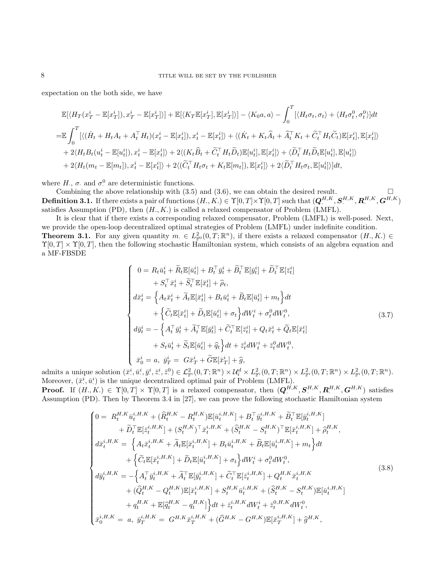expectation on the both side, we have

$$
\mathbb{E}[\langle H_T(x_T^i - \mathbb{E}[x_T^i]), x_T^i - \mathbb{E}[x_T^i] \rangle] + \mathbb{E}[\langle K_T \mathbb{E}[x_T^i], \mathbb{E}[x_T^i] \rangle] - \langle K_0 a, a \rangle - \int_0^T [\langle H_t \sigma_t, \sigma_t \rangle + \langle H_t \sigma_t^0, \sigma_t^0 \rangle] dt
$$
  
\n
$$
= \mathbb{E} \int_0^T [\langle (\dot{H}_t + H_t A_t + A_t^\top H_t)(x_t^i - \mathbb{E}[x_t^i]), x_t^i - \mathbb{E}[x_t^i] \rangle + \langle (\dot{K}_t + K_t \hat{A}_t + \hat{A}_t^\top K_t + \tilde{C}_t^\top H_t \tilde{C}_t) \mathbb{E}[x_t^i], \mathbb{E}[x_t^i] \rangle
$$
  
\n
$$
+ 2 \langle H_t B_t(u_t^i - \mathbb{E}[u_t^i]), x_t^i - \mathbb{E}[x_t^i] \rangle + 2 \langle (K_t \hat{B}_t + \tilde{C}_t^\top H_t \tilde{D}_t) \mathbb{E}[u_t^i], \mathbb{E}[x_t^i] \rangle + \langle \tilde{D}_t^\top H_t \tilde{D}_t \mathbb{E}[u_t^i], \mathbb{E}[u_t^i] \rangle
$$
  
\n
$$
+ 2 \langle H_t(m_t - \mathbb{E}[m_t]), x_t^i - \mathbb{E}[x_t^i] \rangle + 2 \langle (\tilde{C}_t^\top H_t \sigma_t + K_t \mathbb{E}[m_t]), \mathbb{E}[x_t^i] \rangle + 2 \langle \tilde{D}_t^\top H_t \sigma_t, \mathbb{E}[u_t^i] \rangle] dt,
$$

where  $H_{\cdot}$ ,  $\sigma_{\cdot}$  and  $\sigma_{\cdot}^{0}$  are deterministic functions.

Combining the above relationship with (3.5) and (3.6), we can obtain the desired result.  $\mathbf{Definition \ 3.1.} \text{ If there exists a pair of functions } (H., K.) \in \Upsilon[0,T] \times \Upsilon[0,T] \text{ such that } (\boldsymbol{Q}^{H,K}_{\cdot}, \boldsymbol{S}^{H,K}_{\cdot}, \boldsymbol{R}^{H,K}_{\cdot}, \boldsymbol{G}^{H,K})$ satisfies Assumption (PD), then  $(H, K)$  is called a relaxed compensator of Problem (LMFL).

It is clear that if there exists a corresponding relaxed compensator, Problem (LMFL) is well-posed. Next, we provide the open-loop decentralized optimal strategies of Problem (LMFL) under indefinite condition. **Theorem 3.1.** For any given quantity  $m \in L^2_{\mathbb{F}^0}(0,T;\mathbb{R}^n)$ , if there exists a relaxed compensator  $(H,K) \in$  $\Upsilon[0,T] \times \Upsilon[0,T]$ , then the following stochastic Hamiltonian system, which consists of an algebra equation and a MF-FBSDE

$$
\begin{cases}\n0 = R_t \bar{u}_t^i + \tilde{R}_t \mathbb{E}[\bar{u}_t^i] + B_t^\top \bar{y}_t^i + \tilde{B}_t^\top \mathbb{E}[\bar{y}_t^i] + \tilde{D}_t^\top \mathbb{E}[\bar{z}_t^i] \\
+ S_t^\top \bar{x}_t^i + \tilde{S}_t^\top \mathbb{E}[\bar{x}_t^i] + \hat{\rho}_t, \\
d\bar{x}_t^i = \left\{ A_t \bar{x}_t^i + \tilde{A}_t \mathbb{E}[\bar{x}_t^i] + B_t \bar{u}_t^i + \tilde{B}_t \mathbb{E}[\bar{u}_t^i] + m_t \right\} dt \\
+ \left\{ \tilde{C}_t \mathbb{E}[\bar{x}_t^i] + \tilde{D}_t \mathbb{E}[\bar{u}_t^i] + \sigma_t \right\} dW_t^i + \sigma_t^0 dW_t^0, \\
d\bar{y}_t^i = - \left\{ A_t^\top \bar{y}_t^i + \tilde{A}_t^\top \mathbb{E}[\bar{y}_t^i] + \tilde{C}_t^\top \mathbb{E}[\bar{z}_t^i] + Q_t \bar{x}_t^i + \tilde{Q}_t \mathbb{E}[\bar{x}_t^i] \\
+ S_t \bar{u}_t^i + \tilde{S}_t \mathbb{E}[\bar{u}_t^i] + \hat{q}_t \right\} dt + \bar{z}_t^i dW_t^i + \bar{z}_t^0 dW_t^0, \\
\bar{x}_0^i = a, \ \bar{y}_T^i = G \bar{x}_T^i + \tilde{G} \mathbb{E}[\bar{x}_T^i] + \hat{g},\n\end{cases}
$$
\n(3.7)

admits a unique solution  $(\bar{x}^i, \bar{u}^i, \bar{y}^i, \bar{z}^i, \bar{z}^0) \in \mathcal{L}_{\mathbb{F}^i}^2(0,T;\mathbb{R}^n) \times \mathcal{U}_i^d \times L_{\mathbb{F}^i}^2(0,T;\mathbb{R}^n) \times L_{\mathbb{F}^i}^2(0,T;\mathbb{R}^n) \times L_{\mathbb{F}^i}^2(0,T;\mathbb{R}^n)$ Moreover,  $(\bar{x}^i, \bar{u}^i)$  is the unique decentralized optimal pair of Problem (LMFL).

**Proof.** If  $(H_., K.) \in \Upsilon[0,T] \times \Upsilon[0,T]$  is a relaxed compensator, then  $(\mathbf{Q}_{.}^{H,K}, \mathbf{S}_{.}^{H,K}, \mathbf{R}_{.}^{H,K}, \mathbf{G}^{H,K})$  satisfies Assumption (PD). Then by Theorem 3.4 in [27], we can prove the following stochastic Hamiltonian system

$$
\begin{cases}\n0 = R_t^{H,K} \bar{u}_t^{i,H,K} + (\hat{R}_t^{H,K} - R_t^{H,K}) \mathbb{E}[\bar{u}_t^{i,H,K}] + B_t^{\top} \bar{y}_t^{i,H,K} + \tilde{B}_t^{\top} \mathbb{E}[\bar{y}_t^{i,H,K}] \\
+ \tilde{D}_t^{\top} \mathbb{E}[\bar{z}_t^{i,H,K}] + (S_t^{H,K})^{\top} \bar{x}_t^{i,H,K} + (\hat{S}_t^{H,K} - S_t^{H,K})^{\top} \mathbb{E}[\bar{x}_t^{i,H,K}] + \hat{\rho}_t^{H,K}, \\
d\bar{x}_t^{i,H,K} = \left\{ A_t \bar{x}_t^{i,H,K} + \tilde{A}_t \mathbb{E}[\bar{x}_t^{i,H,K}] + B_t \bar{u}_t^{i,H,K} + \tilde{B}_t \mathbb{E}[\bar{u}_t^{i,H,K}] + m_t \right\} dt \\
+ \left\{ \tilde{C}_t \mathbb{E}[\bar{x}_t^{i,H,K}] + \tilde{D}_t \mathbb{E}[\bar{u}_t^{i,H,K}] + \sigma_t \right\} dW_t^i + \sigma_t^0 dW_t^0, \\
d\bar{y}_t^{i,H,K} = - \left\{ A_t^{\top} \bar{y}_t^{i,H,K} + \tilde{A}_t^{\top} \mathbb{E}[\bar{y}_t^{i,H,K}] + \tilde{C}_t^{\top} \mathbb{E}[\bar{z}_t^{i,H,K}] + Q_t^{H,K} \bar{x}_t^{i,H,K} \\
+ (\hat{Q}_t^{H,K} - Q_t^{H,K}) \mathbb{E}[\bar{x}_t^{i,H,K}] + S_t^{H,K} \bar{u}_t^{i,H,K} + (\hat{S}_t^{H,K} - S_t^{H,K}) \mathbb{E}[\bar{u}_t^{i,H,K}] \\
+ q_t^{H,K} + \mathbb{E}[\hat{q}_t^{H,K} - q_t^{H,K}] \right\} dt + \bar{z}_t^{i,H,K} dW_t^i + \bar{z}_t^{0,H,K} dW_t^0, \\
\bar{x}_0^{i,H,K} = a, \ \bar{y}_T^{i,H,K} = G^{H,K} \bar{x}_T^{i,H,K} + (\hat{G}^{H,K} - G^{H,K}) \mathbb{E}[\bar{x}_T^{i,H,K}] + \hat{g}^{H,K},\n\end{cases} \tag{3.8}
$$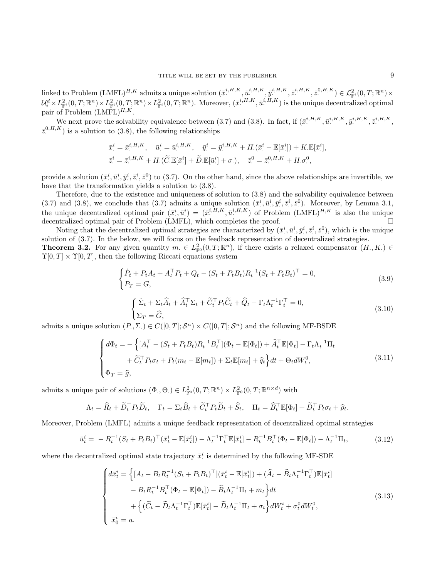$\text{linked to Problem } (\text{LMFL})^{H,K} \text{ admits a unique solution } (\bar{x}^{i,H,K}, \bar{u}^{i,H,K}, \bar{y}^{i,H,K}, \bar{z}^{i,H,K}, \bar{z}^{0,H,K}) \in \mathcal{L}_{\mathbb{P}^i}^2(0,T;\mathbb{R}^n) \times$  $\mathcal{U}^d_i\times L^2_{\mathbb{F}^i}(0,T;\mathbb{R}^n)\times L^2_{\mathbb{F}^i}(0,T;\mathbb{R}^n)\times L^2_{\mathbb{F}^i}(0,T;\mathbb{R}^n).$  Moreover,  $(\bar{x}^{i,H,K},\bar{u}^{i,H,K})$  is the unique decentralized optimal pair of Problem  $(LMFL)^{H,K}$ .

We next prove the solvability equivalence between (3.7) and (3.8). In fact, if  $(\bar{x}^{i,H,K}, \bar{u}^{i,H,K}, \bar{y}^{i,H,K}, \bar{z}^{i,H,K}, \bar{z}^{i,H,K})$  $\bar{z}^{0,H,K}$ ) is a solution to (3.8), the following relationships

$$
\begin{aligned}\n\bar{x}^i &= \bar{x}^{i,H,K}, \quad \bar{u}^i &= \bar{u}^{i,H,K}, \quad \bar{y}^i &= \bar{y}^{i,H,K} + H.(\bar{x}^i - \mathbb{E}[\bar{x}^i]) + K. \mathbb{E}[\bar{x}^i], \\
\bar{z}^i &= \bar{z}^{i,H,K} + H.(\widetilde{C}.\mathbb{E}[\bar{x}^i] + \widetilde{D}.\mathbb{E}[\bar{u}^i] + \sigma.), \quad \bar{z}^0 = \bar{z}^{0,H,K} + H. \sigma^0, \n\end{aligned}
$$

provide a solution  $(\bar{x}^i, \bar{u}^i, \bar{y}^i, \bar{z}^i, \bar{z}^0)$  to (3.7). On the other hand, since the above relationships are invertible, we have that the transformation yields a solution to  $(3.8)$ .

Therefore, due to the existence and uniqueness of solution to (3.8) and the solvability equivalence between  $(3.7)$  and  $(3.8)$ , we conclude that  $(3.7)$  admits a unique solution  $(\bar{x}^i, \bar{u}^i, \bar{y}^i, \bar{z}^i, \bar{z}^0)$ . Moreover, by Lemma 3.1, the unique decentralized optimal pair  $(\bar{x}^i, \bar{u}^i) = (\bar{x}^{i,H,K}, \bar{u}^{i,H,K})$  of Problem  $(LMFL)^{H,K}$  is also the unique decentralized optimal pair of Problem (LMFL), which completes the proof.

Noting that the decentralized optimal strategies are characterized by  $(\bar{x}^i, \bar{u}^i, \bar{y}^i, \bar{z}^i, \bar{z}^0)$ , which is the unique solution of (3.7). In the below, we will focus on the feedback representation of decentralized strategies. **Theorem 3.2.** For any given quantity  $m \in L^2_{\mathbb{F}^0}(0,T;\mathbb{R}^n)$ , if there exists a relaxed compensator  $(H,K) \in$  $\Upsilon[0, T] \times \Upsilon[0, T]$ , then the following Riccati equations system

$$
\begin{cases}\n\dot{P}_t + P_t A_t + A_t^\top P_t + Q_t - (S_t + P_t B_t) R_t^{-1} (S_t + P_t B_t)^\top = 0, \\
P_T = G,\n\end{cases}
$$
\n(3.9)

$$
\begin{cases} \n\dot{\Sigma}_t + \Sigma_t \hat{A}_t + \hat{A}_t^\top \Sigma_t + \tilde{C}_t^\top P_t \tilde{C}_t + \hat{Q}_t - \Gamma_t \Lambda_t^{-1} \Gamma_t^\top = 0, \\
\Sigma_T = \hat{G},\n\end{cases} \n(3.10)
$$

admits a unique solution  $(P, \Sigma) \in C([0, T]; \mathcal{S}^n) \times C([0, T]; \mathcal{S}^n)$  and the following MF-BSDE

$$
\begin{cases}\nd\Phi_t = -\left\{ [A_t^\top - (S_t + P_t B_t) R_t^{-1} B_t^\top] (\Phi_t - \mathbb{E}[\Phi_t]) + \widehat{A}_t^\top \mathbb{E}[\Phi_t] - \Gamma_t \Lambda_t^{-1} \Pi_t \right. \\
\left. + \widetilde{C}_t^\top P_t \sigma_t + P_t (m_t - \mathbb{E}[m_t]) + \Sigma_t \mathbb{E}[m_t] + \widehat{q}_t \right\} dt + \Theta_t dW_t^0, \\
\Phi_T = \widehat{g},\n\end{cases} \tag{3.11}
$$

admits a unique pair of solutions  $(\Phi, \Theta) \in L^2_{\mathbb{F}^0}(0,T;\mathbb{R}^n) \times L^2_{\mathbb{F}^0}(0,T;\mathbb{R}^{n \times d})$  with

$$
\Lambda_t = \widehat{R}_t + \widetilde{D}_t^{\top} P_t \widetilde{D}_t, \quad \Gamma_t = \Sigma_t \widehat{B}_t + \widetilde{C}_t^{\top} P_t \widetilde{D}_t + \widehat{S}_t, \quad \Pi_t = \widehat{B}_t^{\top} \mathbb{E}[\Phi_t] + \widetilde{D}_t^{\top} P_t \sigma_t + \widehat{\rho}_t.
$$

Moreover, Problem (LMFL) admits a unique feedback representation of decentralized optimal strategies

$$
\bar{u}_t^i = -R_t^{-1}(S_t + P_t B_t)^\top (\bar{x}_t^i - \mathbb{E}[\bar{x}_t^i]) - \Lambda_t^{-1} \Gamma_t^\top \mathbb{E}[\bar{x}_t^i] - R_t^{-1} B_t^\top (\Phi_t - \mathbb{E}[\Phi_t]) - \Lambda_t^{-1} \Pi_t,
$$
\n(3.12)

where the decentralized optimal state trajectory  $\bar{x}^i$  is determined by the following MF-SDE

$$
\begin{cases}\n d\bar{x}_t^i = \left\{ \left[ A_t - B_t R_t^{-1} (S_t + P_t B_t)^\top \right] (\bar{x}_t^i - \mathbb{E}[\bar{x}_t^i]) + (\widehat{A}_t - \widehat{B}_t \Lambda_t^{-1} \Gamma_t^\top) \mathbb{E}[\bar{x}_t^i] \right. \\
\left. - B_t R_t^{-1} B_t^\top (\Phi_t - \mathbb{E}[\Phi_t]) - \widehat{B}_t \Lambda_t^{-1} \Pi_t + m_t \right\} dt \\
\quad + \left\{ (\widetilde{C}_t - \widetilde{D}_t \Lambda_t^{-1} \Gamma_t^\top) \mathbb{E}[\bar{x}_t^i] - \widetilde{D}_t \Lambda_t^{-1} \Pi_t + \sigma_t \right\} dW_t^i + \sigma_t^0 dW_t^0, \\
\bar{x}_0^i = a.\n\end{cases} \tag{3.13}
$$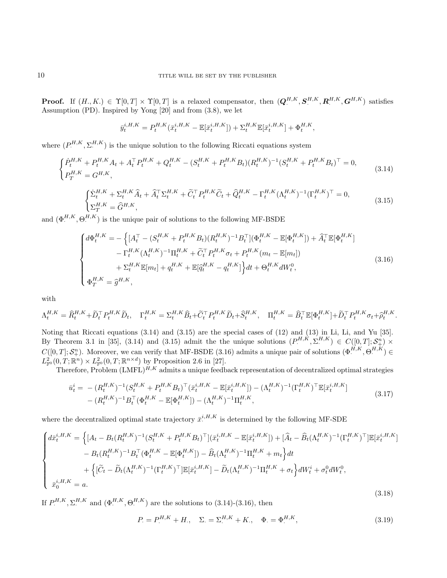**Proof.** If  $(H_., K.) \in \Upsilon[0,T] \times \Upsilon[0,T]$  is a relaxed compensator, then  $(\boldsymbol{Q}^{H,K}, \boldsymbol{S}^{H,K}, \boldsymbol{R}^{H,K}, \boldsymbol{G}^{H,K})$  satisfies Assumption (PD). Inspired by Yong [20] and from (3.8), we let

$$
\bar{y}_t^{i,H,K} = P_t^{H,K}(\bar{x}_t^{i,H,K} - \mathbb{E}[\bar{x}_t^{i,H,K}]) + \Sigma_t^{H,K} \mathbb{E}[\bar{x}_t^{i,H,K}] + \Phi_t^{H,K},
$$

where  $(P_{\cdot}^{H,K}, \Sigma_{\cdot}^{H,K})$  is the unique solution to the following Riccati equations system

$$
\begin{cases}\n\dot{P}_t^{H,K} + P_t^{H,K} A_t + A_t^\top P_t^{H,K} + Q_t^{H,K} - (S_t^{H,K} + P_t^{H,K} B_t)(R_t^{H,K})^{-1} (S_t^{H,K} + P_t^{H,K} B_t)^\top = 0, \\
P_T^{H,K} = G^{H,K},\n\end{cases} (3.14)
$$

$$
\begin{cases} \dot{\Sigma}_{t}^{H,K} + \Sigma_{t}^{H,K} \hat{A}_{t} + \hat{A}_{t}^{\top} \Sigma_{t}^{H,K} + \tilde{C}_{t}^{\top} P_{t}^{H,K} \tilde{C}_{t} + \hat{Q}_{t}^{H,K} - \Gamma_{t}^{H,K} (\Lambda_{t}^{H,K})^{-1} (\Gamma_{t}^{H,K})^{\top} = 0, \\ \Sigma_{T}^{H,K} = \hat{G}^{H,K}, \end{cases}
$$
(3.15)

and  $(\Phi_+^{H,K}, \Theta_+^{H,K})$  is the unique pair of solutions to the following MF-BSDE

$$
\begin{cases}\nd\Phi_t^{H,K} = -\left\{ [A_t^\top - (S_t^{H,K} + P_t^{H,K} B_t)(R_t^{H,K})^{-1} B_t^\top] (\Phi_t^{H,K} - \mathbb{E}[\Phi_t^{H,K}]) + \widehat{A}_t^\top \mathbb{E}[\Phi_t^{H,K}] \right. \\
\left. - \Gamma_t^{H,K} (\Lambda_t^{H,K})^{-1} \Pi_t^{H,K} + \widetilde{C}_t^\top P_t^{H,K} \sigma_t + P_t^{H,K} (m_t - \mathbb{E}[m_t]) \right. \\
\left. + \Sigma_t^{H,K} \mathbb{E}[m_t] + q_t^{H,K} + \mathbb{E}[\widehat{q}_t^{H,K} - q_t^{H,K}] \right\} dt + \Theta_t^{H,K} dW_t^0, \\
\Phi_T^{H,K} = \widehat{g}^{H,K},\n\end{cases} \tag{3.16}
$$

.

with

$$
\Lambda^{H,K}_t=\hat{R}^{H,K}_t+\tilde{D}^\top_tP^{H,K}_t\tilde{D}_t,\quad \Gamma^{H,K}_t=\Sigma^{H,K}_t\hat{B}_t+\tilde{C}^\top_tP^{H,K}_t\tilde{D}_t+\hat{S}^{H,K}_t,\quad \Pi^{H,K}_t=\hat{B}^\top_t\mathbb{E}[\Phi^{H,K}_t]+\tilde{D}^\top_tP^{H,K}_t\sigma_t+\hat{\rho}^{H,K}_t\tilde{D}_t
$$

Noting that Riccati equations (3.14) and (3.15) are the special cases of (12) and (13) in Li, Li, and Yu [35]. By Theorem 3.1 in [35], (3.14) and (3.15) admit the the unique solutions  $(P^{H,K}, \Sigma^{H,K}) \in C([0,T]; \mathcal{S}_{+}^{n}) \times$  $C([0,T];\mathcal{S}_{+}^{n})$ . Moreover, we can verify that MF-BSDE (3.16) admits a unique pair of solutions  $(\Phi_{\cdot}^{H,K},\Theta_{\cdot}^{H,K}) \in$  $L^2_{\mathbb{F}^0}(0,T;\mathbb{R}^n)\times L^2_{\mathbb{F}^0}(0,T;\mathbb{R}^{n\times d})$  by Proposition 2.6 in [27].

Therefore, Problem  $(LMFL)^{H,K}$  admits a unique feedback representation of decentralized optimal strategies

$$
\begin{split} \bar{u}_t^i &= \ -\ (R_t^{H,K})^{-1} (S_t^{H,K} + P_t^{H,K} B_t)^\top (\bar{x}_t^{i,H,K} - \mathbb{E}[\bar{x}_t^{i,H,K}]) - (\Lambda_t^{H,K})^{-1} (\Gamma_t^{H,K})^\top \mathbb{E}[\bar{x}_t^{i,H,K}] \\ &\quad - (R_t^{H,K})^{-1} B_t^\top (\Phi_t^{H,K} - \mathbb{E}[\Phi_t^{H,K}]) - (\Lambda_t^{H,K})^{-1} \Pi_t^{H,K}, \end{split} \tag{3.17}
$$

where the decentralized optimal state trajectory  $\bar{x}^{i,H,K}$  is determined by the following MF-SDE

$$
\begin{cases}\n d\bar{x}_{t}^{i,H,K} = \left\{ [A_{t} - B_{t}(R_{t}^{H,K})^{-1}(S_{t}^{H,K} + P_{t}^{H,K}B_{t})^{\top}](\bar{x}_{t}^{i,H,K} - \mathbb{E}[\bar{x}_{t}^{i,H,K}]) + [\hat{A}_{t} - \hat{B}_{t}(\Lambda_{t}^{H,K})^{-1}(\Gamma_{t}^{H,K})^{\top}]\mathbb{E}[\bar{x}_{t}^{i,H,K}] \right. \\
\left. - B_{t}(R_{t}^{H,K})^{-1}B_{t}^{\top}(\Phi_{t}^{H,K} - \mathbb{E}[\Phi_{t}^{H,K}]) - \hat{B}_{t}(\Lambda_{t}^{H,K})^{-1}\Pi_{t}^{H,K} + m_{t}\right\} dt \\
+ \left\{ [\tilde{C}_{t} - \tilde{D}_{t}(\Lambda_{t}^{H,K})^{-1}(\Gamma_{t}^{H,K})^{\top}]\mathbb{E}[\bar{x}_{t}^{i,H,K}] - \tilde{D}_{t}(\Lambda_{t}^{H,K})^{-1}\Pi_{t}^{H,K} + \sigma_{t}\right\} dW_{t}^{i} + \sigma_{t}^{0} dW_{t}^{0}, \\
\bar{x}_{0}^{i,H,K} = a.\n\end{cases} \tag{3.18}
$$

If  $P^{H,K}, \Sigma^{H,K}$  and  $(\Phi^{H,K}, \Theta^{H,K})$  are the solutions to  $(3.14)-(3.16)$ , then

$$
P_{\cdot} = P_{\cdot}^{H,K} + H_{\cdot}, \quad \Sigma_{\cdot} = \Sigma_{\cdot}^{H,K} + K_{\cdot}, \quad \Phi_{\cdot} = \Phi_{\cdot}^{H,K}, \tag{3.19}
$$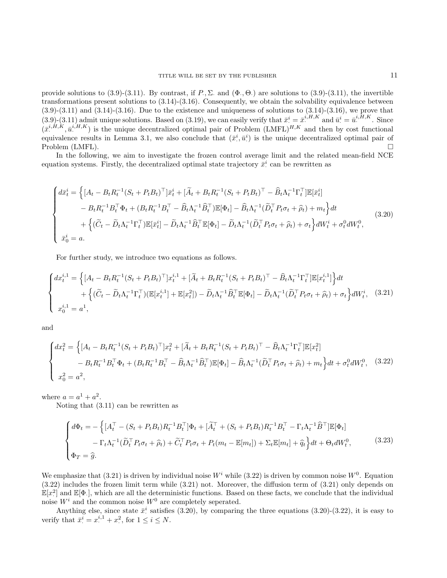provide solutions to  $(3.9)-(3.11)$ . By contrast, if  $P, \Sigma$  and  $(\Phi, \Theta)$  are solutions to  $(3.9)-(3.11)$ , the invertible transformations present solutions to  $(3.14)-(3.16)$ . Consequently, we obtain the solvability equivalence between  $(3.9)-(3.11)$  and  $(3.14)-(3.16)$ . Due to the existence and uniqueness of solutions to  $(3.14)-(3.16)$ , we prove that  $(3.9)$ - $(3.11)$  admit unique solutions. Based on  $(3.19)$ , we can easily verify that  $\bar{x}^i = \bar{x}^{i,H,K}$  and  $\bar{u}^i = \bar{u}^{i,H,K}$ . Since  $(\bar{x}^{i,H,K}, \bar{u}^{i,H,K})$  is the unique decentralized optimal pair of Problem  $(LMFL)^{H,K}$  and then by cost functional equivalence results in Lemma 3.1, we also conclude that  $(\bar{x}^i, \bar{u}^i)$  is the unique decentralized optimal pair of Problem (LMFL).

In the following, we aim to investigate the frozen control average limit and the related mean-field NCE equation systems. Firstly, the decentralized optimal state trajectory  $\bar{x}^i$  can be rewritten as

$$
\begin{cases}\nd\bar{x}_{t}^{i} = \left\{ \left[A_{t} - B_{t}R_{t}^{-1}(S_{t} + P_{t}B_{t})^{\top}\right]\bar{x}_{t}^{i} + \left[\tilde{A}_{t} + B_{t}R_{t}^{-1}(S_{t} + P_{t}B_{t})^{\top} - \hat{B}_{t}\Lambda_{t}^{-1}\Gamma_{t}^{\top}\right]\mathbb{E}[\bar{x}_{t}^{i}] \right. \\
\left. - B_{t}R_{t}^{-1}B_{t}^{\top}\Phi_{t} + (B_{t}R_{t}^{-1}B_{t}^{\top} - \hat{B}_{t}\Lambda_{t}^{-1}\hat{B}_{t}^{\top})\mathbb{E}[\Phi_{t}] - \hat{B}_{t}\Lambda_{t}^{-1}(\tilde{D}_{t}^{\top}P_{t}\sigma_{t} + \hat{\rho}_{t}) + m_{t}\right\}dt \\
\left. + \left\{\left(\tilde{C}_{t} - \tilde{D}_{t}\Lambda_{t}^{-1}\Gamma_{t}^{\top}\right)\mathbb{E}[\bar{x}_{t}^{i}] - \tilde{D}_{t}\Lambda_{t}^{-1}\hat{B}_{t}^{\top}\mathbb{E}[\Phi_{t}] - \tilde{D}_{t}\Lambda_{t}^{-1}(\tilde{D}_{t}^{\top}P_{t}\sigma_{t} + \hat{\rho}_{t}) + \sigma_{t}\right\}dW_{t}^{i} + \sigma_{t}^{0}dW_{t}^{0},\n\end{cases} \tag{3.20}
$$

For further study, we introduce two equations as follows.

$$
\begin{cases} dx_t^{i,1} = \left\{ [A_t - B_t R_t^{-1} (S_t + P_t B_t)^\top] x_t^{i,1} + [\widetilde{A}_t + B_t R_t^{-1} (S_t + P_t B_t)^\top - \widehat{B}_t \Lambda_t^{-1} \Gamma_t^\top] \mathbb{E} [x_t^{i,1}] \right\} dt \\ + \left\{ (\widetilde{C}_t - \widetilde{D}_t \Lambda_t^{-1} \Gamma_t^\top) (\mathbb{E} [x_t^{i,1}] + \mathbb{E} [x_t^2]) - \widetilde{D}_t \Lambda_t^{-1} \widehat{B}_t^\top \mathbb{E} [\Phi_t] - \widetilde{D}_t \Lambda_t^{-1} (\widetilde{D}_t^\top P_t \sigma_t + \widehat{\rho}_t) + \sigma_t \right\} dW_t^i, \quad (3.21) \\ x_0^{i,1} = a^1, \end{cases}
$$

and

$$
\begin{cases}\n dx_t^2 = \left\{ \left[ A_t - B_t R_t^{-1} (S_t + P_t B_t)^\top \right] x_t^2 + \left[ \tilde{A}_t + B_t R_t^{-1} (S_t + P_t B_t)^\top - \hat{B}_t \Lambda_t^{-1} \Gamma_t^\top \right] \mathbb{E}[x_t^2] \right. \\
\left. - B_t R_t^{-1} B_t^\top \Phi_t + (B_t R_t^{-1} B_t^\top - \hat{B}_t \Lambda_t^{-1} \hat{B}_t^\top) \mathbb{E}[\Phi_t] - \hat{B}_t \Lambda_t^{-1} (\tilde{D}_t^\top P_t \sigma_t + \hat{\rho}_t) + m_t \right\} dt + \sigma_t^0 dW_t^0, \quad (3.22) \\
 x_0^2 = a^2,\n\end{cases}
$$

where  $a = a^1 + a^2$ .

Noting that (3.11) can be rewritten as

$$
\begin{cases}\nd\Phi_t = -\left\{ [A_t^\top - (S_t + P_t B_t) R_t^{-1} B_t^\top] \Phi_t + [\widetilde{A}_t^\top + (S_t + P_t B_t) R_t^{-1} B_t^\top - \Gamma_t \Lambda_t^{-1} \widehat{B}^\top] \mathbb{E}[\Phi_t] \right. \\
-\Gamma_t \Lambda_t^{-1} (\widetilde{D}_t^\top P_t \sigma_t + \widehat{\rho}_t) + \widetilde{C}_t^\top P_t \sigma_t + P_t (m_t - \mathbb{E}[m_t]) + \Sigma_t \mathbb{E}[m_t] + \widehat{q}_t \right\} dt + \Theta_t dW_t^0, \\
\Phi_T = \widehat{g}.\n\end{cases} \tag{3.23}
$$

We emphasize that (3.21) is driven by individual noise  $W^i$  while (3.22) is driven by common noise  $W^0$ . Equation (3.22) includes the frozen limit term while (3.21) not. Moreover, the diffusion term of (3.21) only depends on  $\mathbb{E}[x^2]$  and  $\mathbb{E}[\Phi_{\cdot}]$ , which are all the deterministic functions. Based on these facts, we conclude that the individual noise  $W^i$  and the common noise  $W^0$  are completely seperated.

Anything else, since state  $\bar{x}^i$  satisfies (3.20), by comparing the three equations (3.20)-(3.22), it is easy to verify that  $\bar{x}^i = x^{i,1}_1 + x^2$ , for  $1 \le i \le N$ .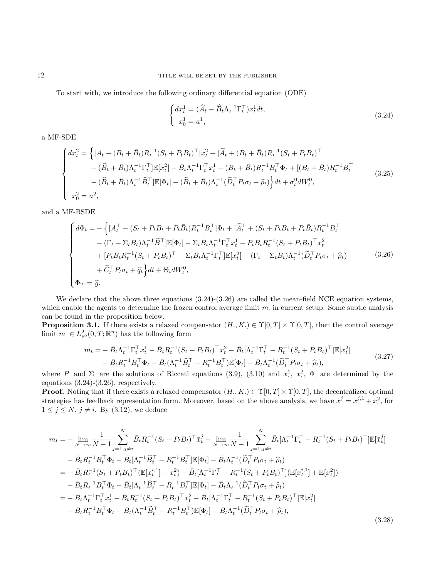To start with, we introduce the following ordinary differential equation (ODE)

$$
\begin{cases} dx_t^1 = (\widehat{A}_t - \widehat{B}_t \Lambda_t^{-1} \Gamma_t^\top) x_t^1 dt, \\ x_0^1 = a^1, \end{cases}
$$
\n(3.24)

a MF-SDE

$$
\begin{cases}\ndx_t^2 = \left\{ [A_t - (B_t + \bar{B}_t)R_t^{-1}(S_t + P_t B_t)^\top]x_t^2 + [\tilde{A}_t + (B_t + \bar{B}_t)R_t^{-1}(S_t + P_t B_t)^\top \right. \\
-\left. (\widehat{B}_t + \bar{B}_t)\Lambda_t^{-1}\Gamma_t^\top]\mathbb{E}[x_t^2] - \bar{B}_t\Lambda_t^{-1}\Gamma_t^\top x_t^1 - (B_t + \bar{B}_t)R_t^{-1}B_t^\top \Phi_t + [(B_t + \bar{B}_t)R_t^{-1}B_t^\top \right. \\
-\left. (\widehat{B}_t + \bar{B}_t)\Lambda_t^{-1}\widehat{B}_t^\top]\mathbb{E}[\Phi_t] - (\widehat{B}_t + \bar{B}_t)\Lambda_t^{-1}(\widetilde{D}_t^\top P_t \sigma_t + \widehat{\rho}_t)\right\}dt + \sigma_t^0 dW_t^0, \\
x_0^2 = a^2,\n\end{cases} \tag{3.25}
$$

and a MF-BSDE

$$
\begin{cases}\nd\Phi_{t} = -\left\{ [A_{t}^{\top} - (S_{t} + P_{t}B_{t} + P_{t}\bar{B}_{t})R_{t}^{-1}B_{t}^{\top}]\Phi_{t} + [\tilde{A}_{t}^{\top} + (S_{t} + P_{t}B_{t} + P_{t}\bar{B}_{t})R_{t}^{-1}B_{t}^{\top} - (\Gamma_{t} + \Sigma_{t}\bar{B}_{t})\Lambda_{t}^{-1}\hat{B}^{\top}]\mathbb{E}[\Phi_{t}] - \Sigma_{t}\bar{B}_{t}\Lambda_{t}^{-1}\Gamma_{t}^{\top}x_{t}^{1} - P_{t}\bar{B}_{t}R_{t}^{-1}(S_{t} + P_{t}B_{t})^{\top}x_{t}^{2} \\
+ [P_{t}\bar{B}_{t}R_{t}^{-1}(S_{t} + P_{t}B_{t})^{\top} - \Sigma_{t}\bar{B}_{t}\Lambda_{t}^{-1}\Gamma_{t}^{\top}]\mathbb{E}[x_{t}^{2}] - (\Gamma_{t} + \Sigma_{t}\bar{B}_{t})\Lambda_{t}^{-1}(\tilde{D}_{t}^{\top}P_{t}\sigma_{t} + \hat{\rho}_{t}) \\
+ \tilde{C}_{t}^{\top}P_{t}\sigma_{t} + \hat{q}_{t}\right\}dt + \Theta_{t}dW_{t}^{0},\n\end{cases} \tag{3.26}
$$

We declare that the above three equations (3.24)-(3.26) are called the mean-field NCE equation systems, which enable the agents to determine the frozen control average limit  $m$  in current setup. Some subtle analysis can be found in the proposition below.

**Proposition 3.1.** If there exists a relaxed compensator  $(H, K) \in \Upsilon[0, T] \times \Upsilon[0, T]$ , then the control average limit  $m \in L^2_{\mathbb{F}^0}(0,T;\mathbb{R}^n)$  has the following form

$$
m_t = -\bar{B}_t \Lambda_t^{-1} \Gamma_t^\top x_t^1 - \bar{B}_t R_t^{-1} (S_t + P_t B_t)^\top x_t^2 - \bar{B}_t [\Lambda_t^{-1} \Gamma_t^\top - R_t^{-1} (S_t + P_t B_t)^\top] \mathbb{E}[x_t^2]
$$
  
-  $\bar{B}_t R_t^{-1} B_t^\top \Phi_t - \bar{B}_t (\Lambda_t^{-1} \hat{B}_t^\top - R_t^{-1} B_t^\top) \mathbb{E}[\Phi_t] - \bar{B}_t \Lambda_t^{-1} (\tilde{D}_t^\top P_t \sigma_t + \hat{\rho}_t),$  (3.27)

where P. and  $\Sigma$  are the solutions of Riccati equations (3.9), (3.10) and  $x^1$ ,  $x^2$ ,  $\Phi$  are determined by the equations (3.24)-(3.26), respectively.

**Proof.** Noting that if there exists a relaxed compensator  $(H, K) \in \Upsilon[0, T] \times \Upsilon[0, T]$ , the decentralized optimal strategies has feedback representation form. Moreover, based on the above analysis, we have  $\bar{x}^j = x^{j,1} + x^2$ , for  $1 \leq j \leq N$ ,  $j \neq i$ . By (3.12), we deduce

$$
m_{t} = -\lim_{N \to \infty} \frac{1}{N-1} \sum_{j=1, j \neq i}^{N} \bar{B}_{t} R_{t}^{-1} (S_{t} + P_{t} B_{t})^{\top} \bar{x}_{t}^{j} - \lim_{N \to \infty} \frac{1}{N-1} \sum_{j=1, j \neq i}^{N} \bar{B}_{t} [\Lambda_{t}^{-1} \Gamma_{t}^{\top} - R_{t}^{-1} (S_{t} + P_{t} B_{t})^{\top}] \mathbb{E}[\bar{x}_{t}^{j}]
$$
  
\n
$$
- \bar{B}_{t} R_{t}^{-1} B_{t}^{\top} \Phi_{t} - \bar{B}_{t} [\Lambda_{t}^{-1} \widehat{B}_{t}^{\top} - R_{t}^{-1} B_{t}^{\top}] \mathbb{E}[\Phi_{t}] - \bar{B}_{t} \Lambda_{t}^{-1} (\widetilde{D}_{t}^{\top} P_{t} \sigma_{t} + \widehat{\rho}_{t})
$$
  
\n
$$
= - \bar{B}_{t} R_{t}^{-1} (S_{t} + P_{t} B_{t})^{\top} (\mathbb{E}[x_{t}^{i,1}] + x_{t}^{2}) - \bar{B}_{t} [\Lambda_{t}^{-1} \Gamma_{t}^{\top} - R_{t}^{-1} (S_{t} + P_{t} B_{t})^{\top}] (\mathbb{E}[x_{t}^{i,1}] + \mathbb{E}[x_{t}^{2}])
$$
  
\n
$$
- \bar{B}_{t} R_{t}^{-1} B_{t}^{\top} \Phi_{t} - \bar{B}_{t} [\Lambda_{t}^{-1} \widehat{B}_{t}^{\top} - R_{t}^{-1} B_{t}^{\top}] \mathbb{E}[\Phi_{t}] - \bar{B}_{t} \Lambda_{t}^{-1} (\widetilde{D}_{t}^{\top} P_{t} \sigma_{t} + \widehat{\rho}_{t})
$$
  
\n
$$
= - \bar{B}_{t} \Lambda_{t}^{-1} \Gamma_{t}^{\top} x_{t}^{1} - \bar{B}_{t} R_{t}^{-1} (S_{t} + P_{t} B_{t})^{\top} x_{t}^{2} - \bar{B}_{t} [\Lambda_{t}^{-1} \Gamma_{t}^{\top} - R_{t}^{-1} (S_{t} + P_{t} B_{t})^{\top}] \mathbb{E}[
$$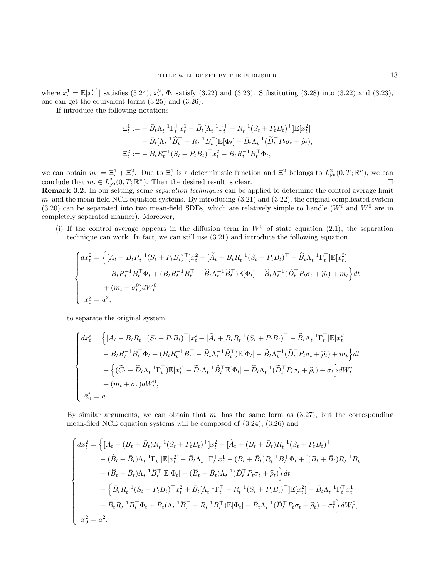where  $x^1 = \mathbb{E}[x^{i,1}]$  satisfies (3.24),  $x^2$ ,  $\Phi$ . satisfy (3.22) and (3.23). Substituting (3.28) into (3.22) and (3.23), one can get the equivalent forms (3.25) and (3.26).

If introduce the following notations

$$
\begin{split} \Xi_t^1 &:= - \, \bar{B}_t \Lambda_t^{-1} \Gamma_t^\top x_t^1 - \bar{B}_t [\Lambda_t^{-1} \Gamma_t^\top - R_t^{-1} (S_t + P_t B_t)^\top] \mathbb{E}[x_t^2] \\ &- \bar{B}_t [\Lambda_t^{-1} \widehat{B}_t^\top - R_t^{-1} B_t^\top] \mathbb{E}[\Phi_t] - \bar{B}_t \Lambda_t^{-1} (\widetilde{D}_t^\top P_t \sigma_t + \widehat{\rho}_t), \\ \Xi_t^2 &:= - \, \bar{B}_t R_t^{-1} (S_t + P_t B_t)^\top x_t^2 - \bar{B}_t R_t^{-1} B_t^\top \Phi_t, \end{split}
$$

we can obtain  $m_{\cdot} = \Xi_{\cdot}^1 + \Xi_{\cdot}^2$ . Due to  $\Xi_{\cdot}^1$  is a deterministic function and  $\Xi_{\cdot}^2$  belongs to  $L^2_{\mathbb{F}^0}(0,T;\mathbb{R}^n)$ , we can conclude that  $m \in L^2_{\mathbb{F}^0}(0,T;\mathbb{R}^n)$ . Then the desired result is clear.

Remark 3.2. In our setting, some *separation techniques* can be applied to determine the control average limit m. and the mean-field NCE equation systems. By introducing  $(3.21)$  and  $(3.22)$ , the original complicated system (3.20) can be separated into two mean-field SDEs, which are relatively simple to handle ( $W^i$  and  $W^0$  are in completely separated manner). Moreover,

(i) If the control average appears in the diffusion term in  $W<sup>0</sup>$  of state equation (2.1), the separation technique can work. In fact, we can still use (3.21) and introduce the following equation

$$
\begin{cases}\n dx_t^2 = \left\{ [A_t - B_t R_t^{-1} (S_t + P_t B_t)^\top] x_t^2 + [\widetilde{A}_t + B_t R_t^{-1} (S_t + P_t B_t)^\top - \widehat{B}_t \Lambda_t^{-1} \Gamma_t^\top] \mathbb{E}[x_t^2] \right. \\
\left. - B_t R_t^{-1} B_t^\top \Phi_t + (B_t R_t^{-1} B_t^\top - \widehat{B}_t \Lambda_t^{-1} \widehat{B}_t^\top) \mathbb{E}[\Phi_t] - \widehat{B}_t \Lambda_t^{-1} (\widetilde{D}_t^\top P_t \sigma_t + \widehat{\rho}_t) + m_t \right\} dt \\
\quad + (m_t + \sigma_t^0) dW_t^0, \\
x_0^2 = a^2,\n\end{cases}
$$

to separate the original system

$$
\begin{cases}\n d\bar{x}_t^i = \left\{ \left[ A_t - B_t R_t^{-1} (S_t + P_t B_t)^\top \right] \bar{x}_t^i + \left[ \widetilde{A}_t + B_t R_t^{-1} (S_t + P_t B_t)^\top - \widehat{B}_t \Lambda_t^{-1} \Gamma_t^\top \right] \mathbb{E}[\bar{x}_t^i] \\
 - B_t R_t^{-1} B_t^\top \Phi_t + (B_t R_t^{-1} B_t^\top - \widehat{B}_t \Lambda_t^{-1} \widehat{B}_t^\top) \mathbb{E}[\Phi_t] - \widehat{B}_t \Lambda_t^{-1} (\widetilde{D}_t^\top P_t \sigma_t + \widehat{\rho}_t) + m_t \right\} dt \\
 + \left\{ (\widetilde{C}_t - \widetilde{D}_t \Lambda_t^{-1} \Gamma_t^\top) \mathbb{E}[\bar{x}_t^i] - \widetilde{D}_t \Lambda_t^{-1} \widehat{B}_t^\top \mathbb{E}[\Phi_t] - \widetilde{D}_t \Lambda_t^{-1} (\widetilde{D}_t^\top P_t \sigma_t + \widehat{\rho}_t) + \sigma_t \right\} dW_t^i \\
 + (m_t + \sigma_t^0) dW_t^0, \\
 \bar{x}_0^i = a.\n\end{cases}
$$

By similar arguments, we can obtain that m, has the same form as  $(3.27)$ , but the corresponding mean-filed NCE equation systems will be composed of (3.24), (3.26) and

$$
\begin{cases}\n dx_t^2 = \left\{ [A_t - (B_t + \bar{B}_t) R_t^{-1} (S_t + P_t B_t)^\top] x_t^2 + [\tilde{A}_t + (B_t + \bar{B}_t) R_t^{-1} (S_t + P_t B_t)^\top \right. \\
\left. - (\hat{B}_t + \bar{B}_t) \Lambda_t^{-1} \Gamma_t^\top] \mathbb{E}[x_t^2] - \bar{B}_t \Lambda_t^{-1} \Gamma_t^\top x_t^1 - (B_t + \bar{B}_t) R_t^{-1} B_t^\top \Phi_t + [(B_t + \bar{B}_t) R_t^{-1} B_t^\top \right. \\
\left. - (\hat{B}_t + \bar{B}_t) \Lambda_t^{-1} \hat{B}_t^\top] \mathbb{E}[\Phi_t] - (\hat{B}_t + \bar{B}_t) \Lambda_t^{-1} (\tilde{D}_t^\top P_t \sigma_t + \hat{\rho}_t) \right\} dt \\
\left. - \left\{ \bar{B}_t R_t^{-1} (S_t + P_t B_t)^\top x_t^2 + \bar{B}_t [\Lambda_t^{-1} \Gamma_t^\top - R_t^{-1} (S_t + P_t B_t)^\top] \mathbb{E}[x_t^2] + \bar{B}_t \Lambda_t^{-1} \Gamma_t^\top x_t^1 \right. \\
\left. + \bar{B}_t R_t^{-1} B_t^\top \Phi_t + \bar{B}_t (\Lambda_t^{-1} \hat{B}_t^\top - R_t^{-1} B_t^\top) \mathbb{E}[\Phi_t] + \bar{B}_t \Lambda_t^{-1} (\tilde{D}_t^\top P_t \sigma_t + \hat{\rho}_t) - \sigma_t^0 \right\} dW_t^0, \\
x_0^2 = a^2.\n\end{cases}
$$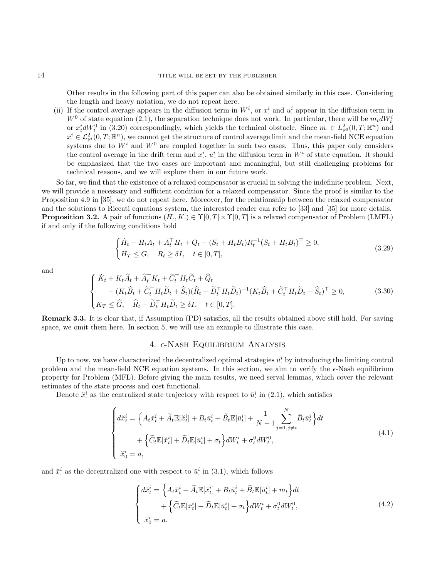Other results in the following part of this paper can also be obtained similarly in this case. Considering the length and heavy notation, we do not repeat here.

(ii) If the control average appears in the diffusion term in  $W^i$ , or  $x^i$  and  $u^i$  appear in the diffusion term in  $W^0$  of state equation (2.1), the separation technique does not work. In particular, there will be  $m_t dW_t^i$ or  $x_t^i dW_t^0$  in (3.20) correspondingly, which yields the technical obstacle. Since  $m \in L^2_{\mathbb{F}^0}(0,T;\mathbb{R}^n)$  and  $x_i^i \in \mathcal{L}_{\mathbb{F}^i}^2(0,T;\mathbb{R}^n)$ , we cannot get the structure of control average limit and the mean-field NCE equation systems due to  $W^i$  and  $W^0$  are coupled together in such two cases. Thus, this paper only considers the control average in the drift term and  $x_i^i$ ,  $u_i^i$  in the diffusion term in  $W^i$  of state equation. It should be emphasized that the two cases are important and meaningful, but still challenging problems for technical reasons, and we will explore them in our future work.

So far, we find that the existence of a relaxed compensator is crucial in solving the indefinite problem. Next, we will provide a necessary and sufficient condition for a relaxed compensator. Since the proof is similar to the Proposition 4.9 in [35], we do not repeat here. Moreover, for the relationship between the relaxed compensator and the solutions to Riccati equations system, the interested reader can refer to [33] and [35] for more details. **Proposition 3.2.** A pair of functions  $(H, K) \in \Upsilon[0, T] \times \Upsilon[0, T]$  is a relaxed compensator of Problem (LMFL) if and only if the following conditions hold

$$
\begin{cases} \dot{H}_t + H_t A_t + A_t^\top H_t + Q_t - (S_t + H_t B_t) R_t^{-1} (S_t + H_t B_t)^\top \ge 0, \\ H_T \le G, \quad R_t \ge \delta I, \quad t \in [0, T], \end{cases}
$$
\n(3.29)

and

$$
\begin{cases}\n\dot{K}_t + K_t \hat{A}_t + \hat{A}_t^\top K_t + \tilde{C}_t^\top H_t \tilde{C}_t + \hat{Q}_t \\
-(K_t \hat{B}_t + \tilde{C}_t^\top H_t \tilde{D}_t + \hat{S}_t)(\hat{R}_t + \tilde{D}_t^\top H_t \tilde{D}_t)^{-1}(K_t \hat{B}_t + \tilde{C}_t^\top H_t \tilde{D}_t + \hat{S}_t)^\top \ge 0, \\
K_T \le \hat{G}, \quad \hat{R}_t + \tilde{D}_t^\top H_t \tilde{D}_t \ge \delta I, \quad t \in [0, T].\n\end{cases}
$$
\n(3.30)

Remark 3.3. It is clear that, if Assumption (PD) satisfies, all the results obtained above still hold. For saving space, we omit them here. In section 5, we will use an example to illustrate this case.

## 4.  $\epsilon$ -Nash Equilibrium Analysis

Up to now, we have characterized the decentralized optimal strategies  $\bar{u}^i$  by introducing the limiting control problem and the mean-field NCE equation systems. In this section, we aim to verify the  $\epsilon$ -Nash equilibrium property for Problem (MFL). Before giving the main results, we need serval lemmas, which cover the relevant estimates of the state process and cost functional.

Denote  $\check{x}^i$  as the centralized state trajectory with respect to  $\bar{u}^i$  in (2.1), which satisfies

$$
\begin{cases} d\breve{x}_t^i = \left\{ A_t \breve{x}_t^i + \widetilde{A}_t \mathbb{E}[\breve{x}_t^i] + B_t \bar{u}_t^i + \widetilde{B}_t \mathbb{E}[\bar{u}_t^i] + \frac{1}{N-1} \sum_{j=1, j \neq i}^N \bar{B}_t \bar{u}_t^j \right\} dt \\qquad \qquad + \left\{ \widetilde{C}_t \mathbb{E}[\breve{x}_t^i] + \widetilde{D}_t \mathbb{E}[\bar{u}_t^i] + \sigma_t \right\} dW_t^i + \sigma_t^0 dW_t^0, \\ \breve{x}_0^i = a, \end{cases} \tag{4.1}
$$

and  $\bar{x}^i$  as the decentralized one with respect to  $\bar{u}^i$  in  $(3.1)$ , which follows

$$
\begin{cases} d\bar{x}_t^i = \left\{ A_t \bar{x}_t^i + \tilde{A}_t \mathbb{E}[\bar{x}_t^i] + B_t \bar{u}_t^i + \tilde{B}_t \mathbb{E}[\bar{u}_t^i] + m_t \right\} dt \\ \qquad + \left\{ \tilde{C}_t \mathbb{E}[\bar{x}_t^i] + \tilde{D}_t \mathbb{E}[\bar{u}_t^i] + \sigma_t \right\} dW_t^i + \sigma_t^0 dW_t^0, \\ \bar{x}_0^i = a. \end{cases} \tag{4.2}
$$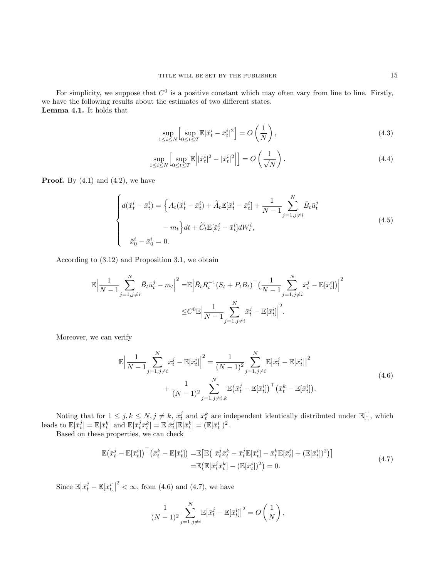For simplicity, we suppose that  $C^0$  is a positive constant which may often vary from line to line. Firstly, we have the following results about the estimates of two different states. Lemma 4.1. It holds that

$$
\sup_{1 \le i \le N} \left[ \sup_{0 \le t \le T} \mathbb{E} |\check{x}_t^i - \bar{x}_t^i|^2 \right] = O\left(\frac{1}{N}\right),\tag{4.3}
$$

$$
\sup_{1 \le i \le N} \left[ \sup_{0 \le t \le T} \mathbb{E} \left| |\breve{x}_t^i|^2 - |\bar{x}_t^i|^2 \right| \right] = O\left(\frac{1}{\sqrt{N}}\right). \tag{4.4}
$$

**Proof.** By  $(4.1)$  and  $(4.2)$ , we have

$$
\begin{cases} d(\check{x}_t^i - \bar{x}_t^i) = \left\{ A_t(\check{x}_t^i - \bar{x}_t^i) + \tilde{A}_t \mathbb{E}[\check{x}_t^i - \bar{x}_t^i] + \frac{1}{N-1} \sum_{j=1, j \neq i}^N \bar{B}_t \bar{u}_t^j - m_t \right\} dt + \tilde{C}_t \mathbb{E}[\check{x}_t^i - \bar{x}_t^i] dW_t^i, \\ \check{x}_0^i - \bar{x}_0^i = 0. \end{cases} \tag{4.5}
$$

According to (3.12) and Proposition 3.1, we obtain

$$
\mathbb{E} \Big| \frac{1}{N-1} \sum_{j=1, j \neq i}^{N} \bar{B}_t \bar{u}_t^j - m_t \Big|^2 = \mathbb{E} \Big| \bar{B}_t R_t^{-1} (S_t + P_t B_t)^\top \Big( \frac{1}{N-1} \sum_{j=1, j \neq i}^{N} \bar{x}_t^j - \mathbb{E}[\bar{x}_t^i] \Big) \Big|^2
$$
  

$$
\leq C^0 \mathbb{E} \Big| \frac{1}{N-1} \sum_{j=1, j \neq i}^{N} \bar{x}_t^j - \mathbb{E}[\bar{x}_t^i] \Big|^2.
$$

Moreover, we can verify

$$
\mathbb{E}\left|\frac{1}{N-1}\sum_{j=1,j\neq i}^{N}\bar{x}_{t}^{j}-\mathbb{E}[\bar{x}_{t}^{i}]\right|^{2}=\frac{1}{(N-1)^{2}}\sum_{j=1,j\neq i}^{N}\mathbb{E}|\bar{x}_{t}^{j}-\mathbb{E}[\bar{x}_{t}^{i}]\right|^{2} + \frac{1}{(N-1)^{2}}\sum_{j=1,j\neq i,k}^{N}\mathbb{E}(\bar{x}_{t}^{j}-\mathbb{E}[\bar{x}_{t}^{i}])\big(\bar{x}_{t}^{k}-\mathbb{E}[\bar{x}_{t}^{i}]\big).
$$
\n(4.6)

Noting that for  $1 \leq j, k \leq N, j \neq k, \bar{x}_t^j$  and  $\bar{x}_t^k$  are independent identically distributed under  $\mathbb{E}[\cdot]$ , which leads to  $\mathbb{E}[\bar{x}_t^j] = \mathbb{E}[\bar{x}_t^k]$  and  $\mathbb{E}[\bar{x}_t^j \bar{x}_t^k] = \mathbb{E}[\bar{x}_t^j] \mathbb{E}[\bar{x}_t^k] = (\mathbb{E}[\bar{x}_t^i])^2$ .

Based on these properties, we can check

$$
\mathbb{E}(\bar{x}_t^j - \mathbb{E}[\bar{x}_t^i])^\top (\bar{x}_t^k - \mathbb{E}[\bar{x}_t^i]) = \mathbb{E}[\mathbb{E}(\bar{x}_t^j \bar{x}_t^k - \bar{x}_t^j \mathbb{E}[\bar{x}_t^i] - \bar{x}_t^k \mathbb{E}[\bar{x}_t^i] + (\mathbb{E}[\bar{x}_t^i])^2)]
$$
\n
$$
= \mathbb{E}(\mathbb{E}[\bar{x}_t^j \bar{x}_t^k] - (\mathbb{E}[\bar{x}_t^i])^2) = 0.
$$
\n(4.7)

Since  $\mathbb{E}\left|\bar{x}_t^j - \mathbb{E}[\bar{x}_t^i]\right|$  $2 < \infty$ , from (4.6) and (4.7), we have

$$
\frac{1}{(N-1)^2} \sum_{j=1, j \neq i}^{N} \mathbb{E} |\bar{x}_t^j - \mathbb{E}[\bar{x}_t^i]|^2 = O\left(\frac{1}{N}\right),\,
$$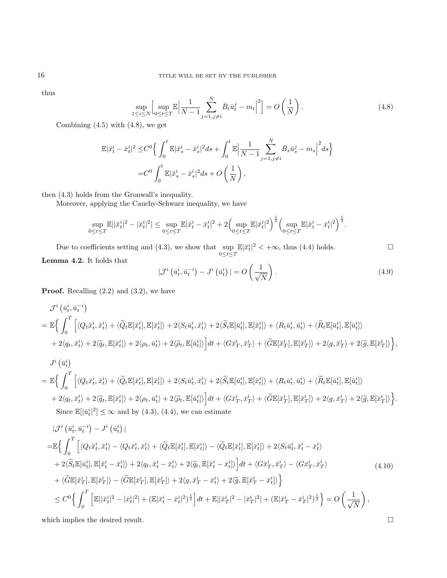thus

$$
\sup_{1 \le i \le N} \left[ \sup_{0 \le t \le T} \mathbb{E} \left| \frac{1}{N-1} \sum_{j=1, j \ne i}^{N} \bar{B}_t \bar{u}_t^j - m_t \right|^2 \right] = O\left(\frac{1}{N}\right). \tag{4.8}
$$

Combining  $(4.5)$  with  $(4.8)$ , we get

$$
\begin{split} \mathbb{E}|\ddot{x}_t^i-\bar{x}_t^i|^2 \leq & C^0\Big\{\int_0^t\mathbb{E}|\ddot{x}_s^i-\bar{x}_s^i|^2ds+\int_0^t\mathbb{E}\Big|\frac{1}{N-1}\sum_{j=1,j\neq i}^N\bar{B}_s\bar{u}_s^j-m_s\Big|^2ds\Big\}\\ =& C^0\int_0^t\mathbb{E}|\ddot{x}_s^i-\bar{x}_s^i|^2ds+O\left(\frac{1}{N}\right), \end{split}
$$

then (4.3) holds from the Gronwall's inequality.

Moreover, applying the Cauchy-Schwarz inequality, we have

$$
\sup_{0\leq t\leq T}\mathbb{E}||\check{x}^i_t|^2-|\bar{x}^i_t|^2|\leq \sup_{0\leq t\leq T}\mathbb{E}|\check{x}^i_t-\bar{x}^i_t|^2+2\Big(\sup_{0\leq t\leq T}\mathbb{E}|\bar{x}^i_t|^2\Big)^{\frac{1}{2}}\Big(\sup_{0\leq t\leq T}\mathbb{E}|\check{x}^i_t-\bar{x}^i_t|^2\Big)^{\frac{1}{2}}.
$$

Due to coefficients setting and (4.3), we show that  $\sup_{0 \le t \le T} \mathbb{E}|\bar{x}_t^i|^2 < +\infty$ , thus (4.4) holds. □ Lemma 4.2. It holds that

$$
|\mathcal{J}^i\left(\bar{u}_t^i, \bar{u}_t^{-i}\right) - J^i\left(\bar{u}_t^i\right)| = O\left(\frac{1}{\sqrt{N}}\right). \tag{4.9}
$$

**Proof.** Recalling  $(2.2)$  and  $(3.2)$ , we have

$$
\mathcal{J}^{i}(\bar{u}_{t}^{i}, \bar{u}_{t}^{-i})
$$
\n
$$
= \mathbb{E}\Big\{\int_{0}^{T}\Big[\langle Q_{t}\breve{x}_{t}^{i}, \breve{x}_{t}^{i}\rangle + \langle \widetilde{Q}_{t}\mathbb{E}[\breve{x}_{t}^{i}], \mathbb{E}[\breve{x}_{t}^{i}]\rangle + 2\langle S_{t}\bar{u}_{t}^{i}, \breve{x}_{t}^{i}\rangle + 2\langle \widetilde{S}_{t}\mathbb{E}[\bar{u}_{t}^{i}], \mathbb{E}[\breve{x}_{t}^{i}]\rangle + \langle R_{t}\bar{u}_{t}^{i}, \bar{u}_{t}^{i}\rangle + \langle \widetilde{R}_{t}\mathbb{E}[\bar{u}_{t}^{i}], \mathbb{E}[\bar{u}_{t}^{i}]\rangle + 2\langle q_{t}, \breve{x}_{t}^{i}\rangle + 2\langle \widetilde{q}_{t}, \mathbb{E}[\breve{x}_{t}^{i}]\rangle + 2\langle \rho_{t}, \bar{u}_{t}^{i}\rangle + 2\langle \widetilde{\rho}_{t}, \mathbb{E}[\bar{u}_{t}^{i}]\rangle\Big]dt + \langle G\breve{x}_{T}^{i}, \breve{x}_{T}^{i}\rangle + \langle \widetilde{G}\mathbb{E}[\breve{x}_{T}^{i}], \mathbb{E}[\breve{x}_{T}^{i}]\rangle + 2\langle q, \breve{x}_{T}^{i}\rangle + 2\langle \widetilde{q}, \mathbb{E}[\breve{x}_{T}^{i}]\rangle\Big\},\end{aligned}
$$

$$
J^{i}(\bar{u}_{t}^{i})
$$
\n
$$
= \mathbb{E}\Big\{\int_{0}^{T}\Big[\langle Q_{t}\bar{x}_{t}^{i},\bar{x}_{t}^{i}\rangle + \langle\widetilde{Q}_{t}\mathbb{E}[\bar{x}_{t}^{i}],\mathbb{E}[\bar{x}_{t}^{i}]\rangle + 2\langle S_{t}\bar{u}_{t}^{i},\bar{x}_{t}^{i}\rangle + 2\langle\widetilde{S}_{t}\mathbb{E}[\bar{u}_{t}^{i}],\mathbb{E}[\bar{x}_{t}^{i}]\rangle + \langle R_{t}\bar{u}_{t}^{i},\bar{u}_{t}^{i}\rangle + \langle\widetilde{R}_{t}\mathbb{E}[\bar{u}_{t}^{i}],\mathbb{E}[\bar{u}_{t}^{i}]\rangle + 2\langle q_{t},\bar{x}_{t}^{i}\rangle + 2\langle\widetilde{q}_{t},\mathbb{E}[\bar{x}_{t}^{i}]\rangle + 2\langle\varphi_{t},\bar{u}_{t}^{i}\rangle + 2\langle\widetilde{\rho}_{t},\mathbb{E}[\bar{u}_{t}^{i}]\rangle\Big]dt + \langle G\bar{x}_{T}^{i},\bar{x}_{T}^{i}\rangle + \langle\widetilde{G}\mathbb{E}[\bar{x}_{T}^{i}],\mathbb{E}[\bar{x}_{T}^{i}]\rangle + 2\langle q,\bar{x}_{T}^{i}\rangle + 2\langle\widetilde{q},\mathbb{E}[\bar{x}_{T}^{i}]\rangle\Big\}.
$$
\nSince  $\mathbb{E}[\|\bar{u}_{t}^{i}|^{2}] \leq \infty$  and by (4.3), (4.4), we can estimate

$$
|\mathcal{J}^{i}(\bar{u}_{t}^{i}, \bar{u}_{t}^{-i}) - J^{i}(\bar{u}_{t}^{i})|
$$
\n
$$
= \mathbb{E} \Big\{ \int_{0}^{T} \Big[ \langle Q_{t}\breve{x}_{t}^{i}, \breve{x}_{t}^{i} \rangle - \langle Q_{t}\bar{x}_{t}^{i}, \bar{x}_{t}^{i} \rangle + \langle \widetilde{Q}_{t} \mathbb{E}[\breve{x}_{t}^{i}], \mathbb{E}[\breve{x}_{t}^{i}] \rangle - \langle \widetilde{Q}_{t} \mathbb{E}[\bar{x}_{t}^{i}], \mathbb{E}[\bar{x}_{t}^{i}] \rangle + 2 \langle S_{t}\bar{u}_{t}^{i}, \breve{x}_{t}^{i} - \bar{x}_{t}^{i} \rangle
$$
\n
$$
+ 2 \langle \widetilde{S}_{t} \mathbb{E}[\bar{u}_{t}^{i}], \mathbb{E}[\breve{x}_{t}^{i} - \bar{x}_{t}^{i}] \rangle + 2 \langle q_{t}, \breve{x}_{t}^{i} - \bar{x}_{t}^{i} \rangle + 2 \langle \widetilde{q}_{t}, \mathbb{E}[\breve{x}_{t}^{i} - \bar{x}_{t}^{i}] \rangle \Big] dt + \langle G\breve{x}_{T}^{i}, \breve{x}_{T}^{i} \rangle - \langle G\bar{x}_{T}^{i}, \bar{x}_{T}^{i} \rangle
$$
\n
$$
+ \langle \widetilde{G} \mathbb{E}[\breve{x}_{t}^{i}], \mathbb{E}[\breve{x}_{T}^{i}] \rangle - \langle \widetilde{G} \mathbb{E}[\bar{x}_{T}^{i}], \mathbb{E}[\bar{x}_{T}^{i}] \rangle + 2 \langle q, \breve{x}_{T}^{i} - \bar{x}_{t}^{i} \rangle + 2 \langle \widetilde{q}, \mathbb{E}[\breve{x}_{T}^{i} - \bar{x}_{t}^{i}] \rangle \Big\}
$$
\n
$$
\leq C^{0} \Big\{ \int_{0}^{T} \Big[ \mathbb{E}||\breve{x}_{t}^{i}|^{2} - |\bar{x}_{t}^{i}|^{2}| + (\mathbb{E}|\breve{x}_{t}^{i} - \breve{x}_{t}^{i}|^{2})^{\frac{1}{2}} \Big] dt + \mathbb{E}||\breve{x}_{T}^{i}|^{2} - |\bar{x}_{T}^{
$$

which implies the desired result.  $\hfill \square$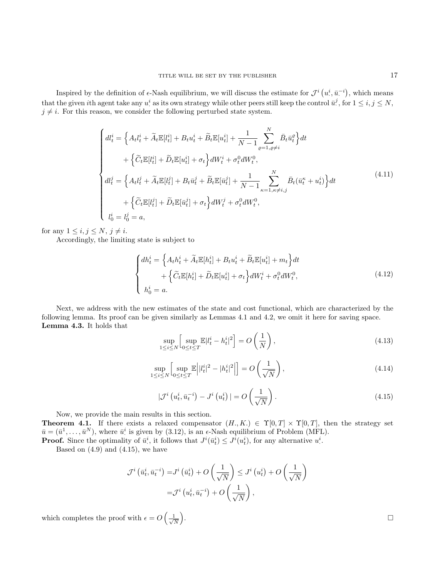Inspired by the definition of  $\epsilon$ -Nash equilibrium, we will discuss the estimate for  $\mathcal{J}^i(u^i, \bar{u}^{-i})$ , which means that the given *i*th agent take any  $u^i$  as its own strategy while other peers still keep the control  $\bar{u}^j$ , for  $1 \le i, j \le N$ ,  $j \neq i$ . For this reason, we consider the following perturbed state system.

$$
\begin{cases}\ndl_{t}^{i} = \left\{ A_{t}l_{t}^{i} + \widetilde{A}_{t}\mathbb{E}[l_{t}^{i}] + B_{t}u_{t}^{i} + \widetilde{B}_{t}\mathbb{E}[u_{t}^{i}] + \frac{1}{N-1} \sum_{\varrho=1,\varrho\neq i}^{N} \bar{B}_{t}\bar{u}_{t}^{\varrho} \right\} dt \\
+ \left\{ \widetilde{C}_{t}\mathbb{E}[l_{t}^{i}] + \widetilde{D}_{t}\mathbb{E}[u_{t}^{i}] + \sigma_{t} \right\} dW_{t}^{i} + \sigma_{t}^{0} dW_{t}^{0}, \\
dl_{t}^{j} = \left\{ A_{t}l_{t}^{j} + \widetilde{A}_{t}\mathbb{E}[l_{t}^{j}] + B_{t}\bar{u}_{t}^{j} + \widetilde{B}_{t}\mathbb{E}[\bar{u}_{t}^{j}] + \frac{1}{N-1} \sum_{\kappa=1,\kappa\neq i,j}^{N} \bar{B}_{t}(\bar{u}_{t}^{\kappa} + u_{t}^{i}) \right\} dt \\
+ \left\{ \widetilde{C}_{t}\mathbb{E}[l_{t}^{j}] + \widetilde{D}_{t}\mathbb{E}[\bar{u}_{t}^{j}] + \sigma_{t} \right\} dW_{t}^{j} + \sigma_{t}^{0} dW_{t}^{0},\n\end{cases} \tag{4.11}
$$

for any  $1 \leq i, j \leq N, j \neq i$ .

Accordingly, the limiting state is subject to

$$
\begin{cases} dh_t^i = \left\{ A_t h_t^i + \widetilde{A}_t \mathbb{E}[h_t^i] + B_t u_t^i + \widetilde{B}_t \mathbb{E}[u_t^i] + m_t \right\} dt \\qquad \qquad + \left\{ \widetilde{C}_t \mathbb{E}[h_t^i] + \widetilde{D}_t \mathbb{E}[u_t^i] + \sigma_t \right\} dW_t^i + \sigma_t^0 dW_t^0, \\ h_0^i = a. \end{cases} \tag{4.12}
$$

Next, we address with the new estimates of the state and cost functional, which are characterized by the following lemma. Its proof can be given similarly as Lemmas 4.1 and 4.2, we omit it here for saving space. Lemma 4.3. It holds that

$$
\sup_{1 \le i \le N} \left[ \sup_{0 \le t \le T} \mathbb{E} |l_t^i - h_t^i|^2 \right] = O\left(\frac{1}{N}\right),\tag{4.13}
$$

$$
\sup_{1 \le i \le N} \left[ \sup_{0 \le t \le T} \mathbb{E} \left| |l_t^{i}|^2 - |h_t^{i}|^2 \right| \right] = O\left(\frac{1}{\sqrt{N}}\right),\tag{4.14}
$$

$$
|\mathcal{J}^i\left(u_t^i, \bar{u}_t^{-i}\right) - J^i\left(u_t^i\right)| = O\left(\frac{1}{\sqrt{N}}\right). \tag{4.15}
$$

Now, we provide the main results in this section. **Theorem 4.1.** If there exists a relaxed compensator  $(H, K) \in \Upsilon[0, T] \times \Upsilon[0, T]$ , then the strategy set  $\bar{u} = (\bar{u}^1, \dots, \bar{u}^N)$ , where  $\bar{u}^i$  is given by (3.12), is an  $\epsilon$ -Nash equilibrium of Problem (MFL).

**Proof.** Since the optimality of  $\bar{u}^i$ , it follows that  $J^i(\bar{u}^i_t) \leq J^i(u^i_t)$ , for any alternative  $u^i$ .

Based on  $(4.9)$  and  $(4.15)$ , we have

$$
\mathcal{J}^{i}\left(\bar{u}_{t}^{i}, \bar{u}_{t}^{-i}\right) = J^{i}\left(\bar{u}_{t}^{i}\right) + O\left(\frac{1}{\sqrt{N}}\right) \leq J^{i}\left(u_{t}^{i}\right) + O\left(\frac{1}{\sqrt{N}}\right)
$$

$$
= \mathcal{J}^{i}\left(u_{t}^{i}, \bar{u}_{t}^{-i}\right) + O\left(\frac{1}{\sqrt{N}}\right),
$$

which completes the proof with  $\epsilon = O\left(\frac{1}{\sqrt{2}}\right)$  $\frac{1}{N}$ 

. В последните последните последните последните последните последните последните последните последните последн<br>В 1990 година от селото на селото на селото на селото на селото на селото на селото на селото на селото на сел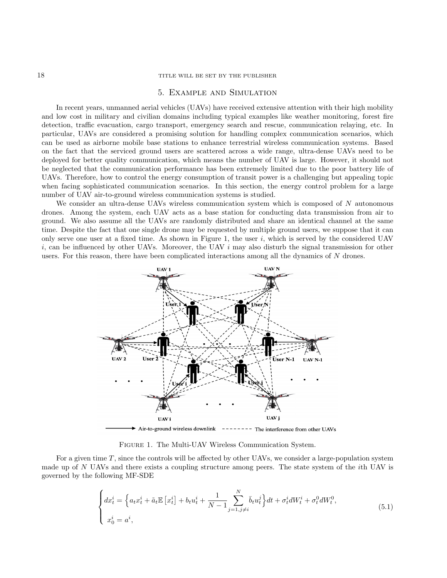#### 18 TITLE WILL BE SET BY THE PUBLISHER

## 5. Example and Simulation

In recent years, unmanned aerial vehicles (UAVs) have received extensive attention with their high mobility and low cost in military and civilian domains including typical examples like weather monitoring, forest fire detection, traffic evacuation, cargo transport, emergency search and rescue, communication relaying, etc. In particular, UAVs are considered a promising solution for handling complex communication scenarios, which can be used as airborne mobile base stations to enhance terrestrial wireless communication systems. Based on the fact that the serviced ground users are scattered across a wide range, ultra-dense UAVs need to be deployed for better quality communication, which means the number of UAV is large. However, it should not be neglected that the communication performance has been extremely limited due to the poor battery life of UAVs. Therefore, how to control the energy consumption of transit power is a challenging but appealing topic when facing sophisticated communication scenarios. In this section, the energy control problem for a large number of UAV air-to-ground wireless communication systems is studied.

We consider an ultra-dense UAVs wireless communication system which is composed of  $N$  autonomous drones. Among the system, each UAV acts as a base station for conducting data transmission from air to ground. We also assume all the UAVs are randomly distributed and share an identical channel at the same time. Despite the fact that one single drone may be requested by multiple ground users, we suppose that it can only serve one user at a fixed time. As shown in Figure 1, the user i, which is served by the considered UAV  $i$ , can be influenced by other UAVs. Moreover, the UAV  $i$  may also disturb the signal transmission for other users. For this reason, there have been complicated interactions among all the dynamics of N drones.



Figure 1. The Multi-UAV Wireless Communication System.

For a given time T, since the controls will be affected by other UAVs, we consider a large-population system made up of N UAVs and there exists a coupling structure among peers. The state system of the *i*th UAV is governed by the following MF-SDE

$$
\begin{cases} dx_t^i = \left\{ a_t x_t^i + \tilde{a}_t \mathbb{E} \left[ x_t^i \right] + b_t u_t^i + \frac{1}{N-1} \sum_{j=1, j \neq i}^N \bar{b}_t u_t^j \right\} dt + \sigma_t^i dW_t^i + \sigma_t^0 dW_t^0, \\ x_0^i = a^i, \end{cases} \tag{5.1}
$$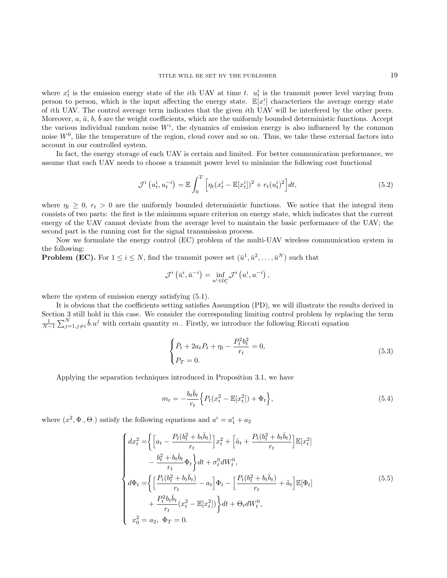where  $x_t^i$  is the emission energy state of the *i*th UAV at time t.  $u_t^i$  is the transmit power level varying from person to person, which is the input affecting the energy state.  $\mathbb{E}[x^i]$  characterizes the average energy state of ith UAV. The control average term indicates that the given ith UAV will be interfered by the other peers. Moreover,  $a, \tilde{a}, b, \bar{b}$  are the weight coefficients, which are the uniformly bounded deterministic functions. Accept the various individual random noise  $W<sup>i</sup>$ , the dynamics of emission energy is also influenced by the common noise  $W<sup>0</sup>$ , like the temperature of the region, cloud cover and so on. Thus, we take these external factors into account in our controlled system.

In fact, the energy storage of each UAV is certain and limited. For better communication performance, we assume that each UAV needs to choose a transmit power level to minimize the following cost functional

$$
\mathcal{J}^{i}(u_{t}^{i}, u_{t}^{-i}) = \mathbb{E} \int_{0}^{T} \left[ \eta_{t}(x_{t}^{i} - \mathbb{E}[x_{t}^{i}])^{2} + r_{t}(u_{t}^{i})^{2} \right] dt,
$$
\n(5.2)

where  $\eta_t \geq 0$ ,  $r_t > 0$  are the uniformly bounded deterministic functions. We notice that the integral item consists of two parts: the first is the minimum square criterion on energy state, which indicates that the current energy of the UAV cannot deviate from the average level to maintain the basic performance of the UAV; the second part is the running cost for the signal transmission process.

Now we formulate the energy control (EC) problem of the multi-UAV wireless communication system in the following:

**Problem (EC).** For  $1 \leq i \leq N$ , find the transmit power set  $(\bar{u}^1, \bar{u}^2, \ldots, \bar{u}^N)$  such that

$$
\mathcal{J}^{i}\left(\bar{u}^{i}_{\cdot},\bar{u}^{-i}_{\cdot}\right)=\inf_{u^{i}_{\cdot}\in\mathcal{U}_{i}^{c}}\mathcal{J}^{i}\left(u^{i}_{\cdot},u^{-i}_{\cdot}\right),
$$

where the system of emission energy satisfying  $(5.1)$ .

It is obvious that the coefficients setting satisfies Assumption (PD), we will illustrate the results derived in Section 3 still hold in this case. We consider the corresponding limiting control problem by replacing the term  $\frac{1}{N-1}\sum_{j=1,j\neq i}^N \bar{b}u^j$  with certain quantity m. Firstly, we introduce the following Riccati equation

$$
\begin{cases}\n\dot{P}_t + 2a_t P_t + \eta_t - \frac{P_t^2 b_t^2}{r_t} = 0, \\
P_T = 0.\n\end{cases}
$$
\n(5.3)

Applying the separation techniques introduced in Proposition 3.1, we have

$$
m_t = -\frac{b_t \bar{b}_t}{r_t} \Big\{ P_t(x_t^2 - \mathbb{E}[x_t^2]) + \Phi_t \Big\},\tag{5.4}
$$

where  $(x^2, \Phi_0, \Theta_0)$  satisfy the following equations and  $a^i = a_1^i + a_2$ 

$$
\begin{cases}\n dx_t^2 = \left\{ \left[ a_t - \frac{P_t(b_t^2 + b_t \bar{b}_t)}{r_t} \right] x_t^2 + \left[ \tilde{a}_t + \frac{P_t(b_t^2 + b_t \bar{b}_t)}{r_t} \right] \mathbb{E}[x_t^2] \right. \\
\left. - \frac{b_t^2 + b_t \bar{b}_t}{r_t} \Phi_t \right\} dt + \sigma_t^0 dW_t^0, \\
 d\Phi_t = \left\{ \left[ \frac{P_t(b_t^2 + b_t \bar{b}_t)}{r_t} - a_t \right] \Phi_t - \left[ \frac{P_t(b_t^2 + b_t \bar{b}_t)}{r_t} + \tilde{a}_t \right] \mathbb{E}[\Phi_t] \right. \\
\left. + \frac{P_t^2 b_t \bar{b}_t}{r_t} (x_t^2 - \mathbb{E}[x_t^2]) \right\} dt + \Theta_t dW_t^0, \\
 x_0^2 = a_2, \ \Phi_T = 0.\n\end{cases} \tag{5.5}
$$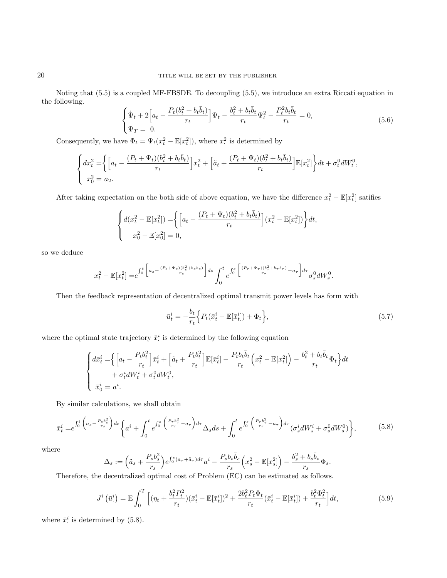Noting that (5.5) is a coupled MF-FBSDE. To decoupling (5.5), we introduce an extra Riccati equation in the following.

$$
\begin{cases} \dot{\Psi}_t + 2 \Big[ a_t - \frac{P_t (b_t^2 + b_t \bar{b}_t)}{r_t} \Big] \Psi_t - \frac{b_t^2 + b_t \bar{b}_t}{r_t} \Psi_t^2 - \frac{P_t^2 b_t \bar{b}_t}{r_t} = 0, \\ \Psi_T = 0. \end{cases}
$$
(5.6)

Consequently, we have  $\Phi_t = \Psi_t(x_t^2 - \mathbb{E}[x_t^2])$ , where  $x_t^2$  is determined by

$$
\begin{cases} dx_t^2 = \left\{ \left[ a_t - \frac{(P_t + \Psi_t)(b_t^2 + b_t \bar{b}_t)}{r_t} \right] x_t^2 + \left[ \tilde{a}_t + \frac{(P_t + \Psi_t)(b_t^2 + b_t \bar{b}_t)}{r_t} \right] \mathbb{E}[x_t^2] \right\} dt + \sigma_t^0 dW_t^0, \\ x_0^2 = a_2. \end{cases}
$$

After taking expectation on the both side of above equation, we have the difference  $x_t^2 - \mathbb{E}[x_t^2]$  satifies

$$
\begin{cases} d(x_t^2 - \mathbb{E}[x_t^2]) = \left\{ \left[ a_t - \frac{(P_t + \Psi_t)(b_t^2 + b_t \bar{b}_t)}{r_t} \right] (x_t^2 - \mathbb{E}[x_t^2]) \right\} dt, \\ x_0^2 - \mathbb{E}[x_0^2] = 0, \end{cases}
$$

so we deduce

$$
x_t^2 - \mathbb{E}[x_t^2] = e^{\int_0^t \left[a_s - \frac{(P_s + \Psi_s)(b_s^2 + b_s\bar{b}_s)}{r_s}\right]ds} \int_0^t e^{\int_0^s \left[\frac{(P_\tau + \Psi_\tau)(b_\tau^2 + b_\tau\bar{b}_\tau)}{r_\tau} - a_\tau\right]d\tau} \sigma_s^0 dW_s^0.
$$

Then the feedback representation of decentralized optimal transmit power levels has form with

$$
\bar{u}_t^i = -\frac{b_t}{r_t} \left\{ P_t(\bar{x}_t^i - \mathbb{E}[\bar{x}_t^i]) + \Phi_t \right\},\tag{5.7}
$$

where the optimal state trajectory  $\bar{x}^i$  is determined by the following equation

$$
\begin{cases} d\bar{x}_t^i = \left\{ \left[ a_t - \frac{P_t b_t^2}{r_t} \right] \bar{x}_t^i + \left[ \tilde{a}_t + \frac{P_t b_t^2}{r_t} \right] \mathbb{E}[\bar{x}_t^i] - \frac{P_t b_t \bar{b}_t}{r_t} \left( x_t^2 - \mathbb{E}[x_t^2] \right) - \frac{b_t^2 + b_t \bar{b}_t}{r_t} \Phi_t \right\} dt \\ + \sigma_t^i dW_t^i + \sigma_t^0 dW_t^0, \\ \bar{x}_0^i = a^i. \end{cases}
$$

By similar calculations, we shall obtain

$$
\bar{x}_{t}^{i} = e^{\int_{0}^{t} \left(a_{s} - \frac{P_{s}b_{s}^{2}}{r_{s}}\right)ds} \left\{ a^{i} + \int_{0}^{t} e^{\int_{0}^{s} \left(\frac{P_{\tau}b_{\tau}^{2}}{r_{\tau}} - a_{\tau}\right)dr} \Delta_{s} ds + \int_{0}^{t} e^{\int_{0}^{s} \left(\frac{P_{\tau}b_{\tau}^{2}}{r_{\tau}} - a_{\tau}\right)dr} \left(\sigma_{s}^{i} dW_{s}^{i} + \sigma_{s}^{0} dW_{s}^{0}\right) \right\},
$$
\n(5.8)

where

$$
\Delta_s:=\Big(\tilde{a}_s+\frac{P_s b_s^2}{r_s}\Big)e^{\int_0^s(a_\tau+\tilde{a}_\tau)d\tau}a^i-\frac{P_s b_s\bar{b}_s}{r_s}\Big(x_s^2-\mathbb{E}[x_s^2]\Big)-\frac{b_s^2+b_s\bar{b}_s}{r_s}\Phi_s.
$$

Therefore, the decentralized optimal cost of Problem (EC) can be estimated as follows.

$$
J^{i}\left(\bar{u}_{\cdot}^{i}\right) = \mathbb{E}\int_{0}^{T}\left[ (\eta_{t} + \frac{b_{t}^{2}P_{t}^{2}}{r_{t}})(\bar{x}_{t}^{i} - \mathbb{E}[\bar{x}_{t}^{i}])^{2} + \frac{2b_{t}^{2}P_{t}\Phi_{t}}{r_{t}}(\bar{x}_{t}^{i} - \mathbb{E}[\bar{x}_{t}^{i}]) + \frac{b_{t}^{2}\Phi_{t}^{2}}{r_{t}}\right]dt,\tag{5.9}
$$

where  $\bar{x}^i$  is determined by (5.8).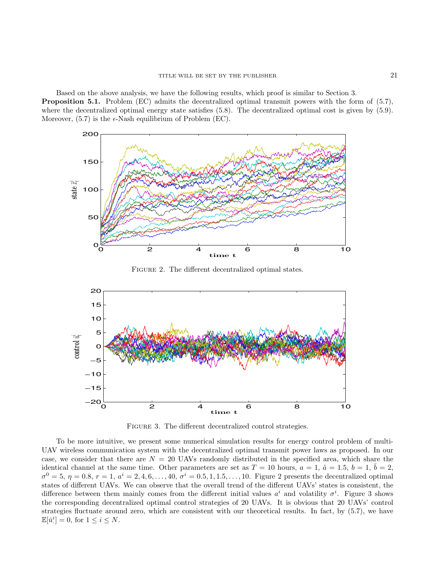Based on the above analysis, we have the following results, which proof is similar to Section 3. Proposition 5.1. Problem (EC) admits the decentralized optimal transmit powers with the form of (5.7), where the decentralized optimal energy state satisfies (5.8). The decentralized optimal cost is given by (5.9). Moreover,  $(5.7)$  is the  $\epsilon$ -Nash equilibrium of Problem (EC).



FIGURE 2. The different decentralized optimal states.



FIGURE 3. The different decentralized control strategies.

To be more intuitive, we present some numerical simulation results for energy control problem of multi-UAV wireless communication system with the decentralized optimal transmit power laws as proposed. In our case, we consider that there are  $N = 20$  UAVs randomly distributed in the specified area, which share the identical channel at the same time. Other parameters are set as  $T = 10$  hours,  $a = 1$ ,  $\tilde{a} = 1.5$ ,  $b = 1$ ,  $b = 2$ ,  $\sigma^0 = 5, \eta = 0.8, r = 1, a^i = 2, 4, 6, \ldots, 40, \sigma^i = 0.5, 1, 1.5, \ldots, 10$ . Figure 2 presents the decentralized optimal states of different UAVs. We can observe that the overall trend of the different UAVs' states is consistent, the difference between them mainly comes from the different initial values  $a^i$  and volatility  $\sigma^i$ . Figure 3 shows the corresponding decentralized optimal control strategies of 20 UAVs. It is obvious that 20 UAVs' control strategies fluctuate around zero, which are consistent with our theoretical results. In fact, by (5.7), we have  $\mathbb{E}[\bar{u}^i] = 0$ , for  $1 \leq i \leq N$ .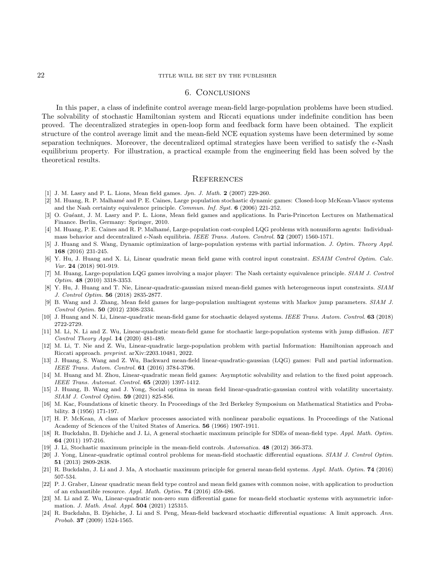## 6. Conclusions

In this paper, a class of indefinite control average mean-field large-population problems have been studied. The solvability of stochastic Hamiltonian system and Riccati equations under indefinite condition has been proved. The decentralized strategies in open-loop form and feedback form have been obtained. The explicit structure of the control average limit and the mean-field NCE equation systems have been determined by some separation techniques. Moreover, the decentralized optimal strategies have been verified to satisfy the  $\epsilon$ -Nash equilibrium property. For illustration, a practical example from the engineering field has been solved by the theoretical results.

#### **REFERENCES**

- [1] J. M. Lasry and P. L. Lions, Mean field games. Jpn. J. Math. 2 (2007) 229-260.
- [2] M. Huang, R. P. Malham´e and P. E. Caines, Large population stochastic dynamic games: Closed-loop McKean-Vlasov systems and the Nash certainty equivalence principle. Commun. Inf. Syst. 6 (2006) 221-252.
- [3] O. Guéant, J. M. Lasry and P. L. Lions, Mean field games and applications. In Paris-Princeton Lectures on Mathematical Finance. Berlin, Germany: Springer, 2010.
- [4] M. Huang, P. E. Caines and R. P. Malhamé, Large-population cost-coupled LQG problems with nonuniform agents: Individualmass behavior and decentralized  $\epsilon$ -Nash equilibria. IEEE Trans. Autom. Control. 52 (2007) 1560-1571.
- [5] J. Huang and S. Wang, Dynamic optimization of large-population systems with partial information. J. Optim. Theory Appl. 168 (2016) 231-245.
- [6] Y. Hu, J. Huang and X. Li, Linear quadratic mean field game with control input constraint. ESAIM Control Optim. Calc. Var. 24 (2018) 901-919.
- [7] M. Huang, Large-population LQG games involving a major player: The Nash certainty equivalence principle. SIAM J. Control Optim. 48 (2010) 3318-3353.
- [8] Y. Hu, J. Huang and T. Nie, Linear-quadratic-gaussian mixed mean-field games with heterogeneous input constraints. SIAM J. Control Optim. 56 (2018) 2835-2877.
- [9] B. Wang and J. Zhang, Mean field games for large-population multiagent systems with Markov jump parameters. SIAM J. Control Optim. 50 (2012) 2308-2334.
- [10] J. Huang and N. Li, Linear-quadratic mean-field game for stochastic delayed systems. IEEE Trans. Autom. Control. 63 (2018) 2722-2729.
- [11] M. Li, N. Li and Z. Wu, Linear-quadratic mean-field game for stochastic large-population systems with jump diffusion. IET Control Theory Appl. 14 (2020) 481-489.
- [12] M. Li, T. Nie and Z. Wu, Linear-quadratic large-population problem with partial Information: Hamiltonian approach and Riccati approach. preprint. arXiv:2203.10481, 2022.
- [13] J. Huang, S. Wang and Z. Wu, Backward mean-field linear-quadratic-gaussian (LQG) games: Full and partial information. IEEE Trans. Autom. Control. 61 (2016) 3784-3796.
- [14] M. Huang and M. Zhou, Linear-quadratic mean field games: Asymptotic solvability and relation to the fixed point approach. IEEE Trans. Automat. Control. 65 (2020) 1397-1412.
- [15] J. Huang, B. Wang and J. Yong, Social optima in mean field linear-quadratic-gaussian control with volatility uncertainty. SIAM J. Control Optim. 59 (2021) 825-856.
- [16] M. Kac, Foundations of kinetic theory. In Proceedings of the 3rd Berkeley Symposium on Mathematical Statistics and Probability. 3 (1956) 171-197.
- [17] H. P. McKean, A class of Markov processes associated with nonlinear parabolic equations. In Proceedings of the National Academy of Sciences of the United States of America. 56 (1966) 1907-1911.
- [18] R. Buckdahn, B. Djehiche and J. Li, A general stochastic maximum principle for SDEs of mean-field type. Appl. Math. Optim. 64 (2011) 197-216.
- [19] J. Li, Stochastic maximum principle in the mean-field controls. Automatica. 48 (2012) 366-373.
- [20] J. Yong, Linear-quadratic optimal control problems for mean-field stochastic differential equations. SIAM J. Control Optim. 51 (2013) 2809-2838.
- [21] R. Buckdahn, J. Li and J. Ma, A stochastic maximum principle for general mean-field systems. Appl. Math. Optim. **74** (2016) 507-534.
- [22] P. J. Graber, Linear quadratic mean field type control and mean field games with common noise, with application to production of an exhaustible resource. Appl. Math. Optim. 74 (2016) 459-486.
- [23] M. Li and Z. Wu, Linear-quadratic non-zero sum differential game for mean-field stochastic systems with asymmetric information. J. Math. Anal. Appl. 504 (2021) 125315.
- [24] R. Buckdahn, B. Djehiche, J. Li and S. Peng, Mean-field backward stochastic differential equations: A limit approach. Ann. Probab. 37 (2009) 1524-1565.